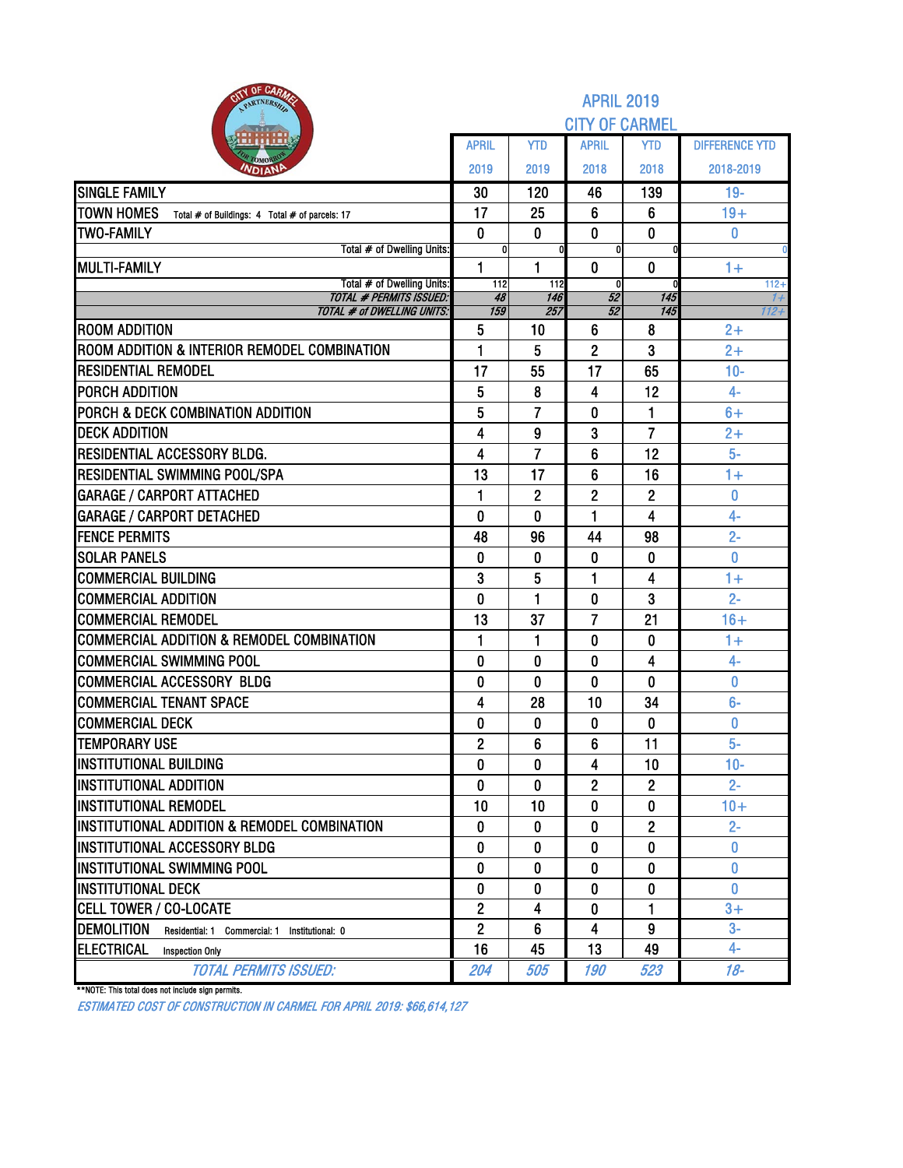| <b>RITY OF CARMS</b><br>PARTNERSH                                    |                         |                     | <b>APRIL 2019</b>           |                |                       |
|----------------------------------------------------------------------|-------------------------|---------------------|-----------------------------|----------------|-----------------------|
|                                                                      |                         |                     | <b>CITY OF CARMEL</b>       |                |                       |
|                                                                      | <b>APRIL</b>            | <b>YTD</b>          | <b>APRIL</b>                | <b>YTD</b>     | <b>DIFFERENCE YTD</b> |
| OMOP<br><b>NDIANI</b>                                                | 2019                    | 2019                | 2018                        | 2018           | 2018-2019             |
| <b>SINGLE FAMILY</b>                                                 | 30                      | 120                 | 46                          | 139            | $19 -$                |
| <b>TOWN HOMES</b><br>Total # of Buildings: 4 Total # of parcels: 17  | 17                      | 25                  | 6                           | 6              | $19+$                 |
| <b>TWO-FAMILY</b>                                                    | $\mathbf 0$             | $\bf{0}$            | $\mathbf 0$                 | $\mathbf 0$    | 0                     |
| Total # of Dwelling Units:                                           | 0                       |                     | 0                           |                |                       |
| <b>MULTI-FAMILY</b><br>Total # of Dwelling Units:                    | $\mathbf{1}$<br>112     | 1<br>112            | $\mathbf 0$<br><sub>0</sub> | $\bf{0}$       | $1+$<br>$112 +$       |
| <b>TOTAL # PERMITS ISSUED:</b>                                       | 48                      | 146                 | 52                          | 145            | 1+                    |
| <b>TOTAL # of DWELLING UNITS:</b>                                    | 159                     | 257                 | 52                          | 145            | 112+                  |
| <b>ROOM ADDITION</b><br>ROOM ADDITION & INTERIOR REMODEL COMBINATION | 5<br>1                  | 10<br>5             | $6\phantom{1}6$             | 8<br>3         | $2+$<br>$2+$          |
| <b>IRESIDENTIAL REMODEL</b>                                          | 17                      |                     | $\overline{c}$<br>17        |                | $10-$                 |
| <b>PORCH ADDITION</b>                                                |                         | 55                  | 4                           | 65<br>12       | $4-$                  |
| <b>PORCH &amp; DECK COMBINATION ADDITION</b>                         | 5<br>5                  | 8<br>$\overline{7}$ | 0                           | 1              | $6+$                  |
| <b>DECK ADDITION</b>                                                 | 4                       | 9                   | 3                           | 7              | $2+$                  |
| <b>RESIDENTIAL ACCESSORY BLDG.</b>                                   | 4                       | 7                   | 6                           | 12             | $5-$                  |
| <b>RESIDENTIAL SWIMMING POOL/SPA</b>                                 | 13                      | 17                  | 6                           | 16             | $1+$                  |
| <b>GARAGE / CARPORT ATTACHED</b>                                     | $\mathbf{1}$            | $\overline{2}$      | $\overline{2}$              | $\overline{2}$ | 0                     |
| <b>GARAGE / CARPORT DETACHED</b>                                     | 0                       | $\bf{0}$            | 1                           | 4              | $4-$                  |
| <b>FENCE PERMITS</b>                                                 | 48                      | 96                  | 44                          | 98             | $2 -$                 |
| <b>SOLAR PANELS</b>                                                  | 0                       | 0                   | $\bf{0}$                    | 0              | 0                     |
| <b>COMMERCIAL BUILDING</b>                                           | 3                       | 5                   | 1                           | 4              | $1+$                  |
| <b>COMMERCIAL ADDITION</b>                                           | 0                       | 1                   | 0                           | 3              | $2 -$                 |
| <b>COMMERCIAL REMODEL</b>                                            | 13                      | 37                  | $\overline{7}$              | 21             | $16+$                 |
| <b>COMMERCIAL ADDITION &amp; REMODEL COMBINATION</b>                 | $\mathbf{1}$            | 1                   | 0                           | 0              | $1+$                  |
| COMMERCIAL SWIMMING POOL                                             | 0                       | 0                   | 0                           | 4              | $4-$                  |
| COMMERCIAL ACCESSORY BLDG                                            | 0                       | 0                   | 0                           | $\mathbf 0$    | 0                     |
| <b>COMMERCIAL TENANT SPACE</b>                                       | 4                       | 28                  | 10                          | 34             | $6-$                  |
| <b>COMMERCIAL DECK</b>                                               | 0                       | 0                   | 0                           | $\bf{0}$       | 0                     |
| <b>TEMPORARY USE</b>                                                 | $\overline{\mathbf{c}}$ | 6                   | 6                           | 11             | $5-$                  |
| <b>INSTITUTIONAL BUILDING</b>                                        | $\mathbf{0}$            | 0                   | 4                           | 10             | $10-$                 |
| <b>INSTITUTIONAL ADDITION</b>                                        | 0                       | 0                   | $\mathbf{2}$                | $\overline{c}$ | $2 -$                 |
| <b>INSTITUTIONAL REMODEL</b>                                         | 10                      | 10                  | 0                           | 0              | $10+$                 |
| IINSTITUTIONAL ADDITION & REMODEL COMBINATION                        | 0                       | 0                   | 0                           | $\overline{2}$ | $2 -$                 |
| <b>IINSTITUTIONAL ACCESSORY BLDG</b>                                 | 0                       | 0                   | 0                           | 0              | $\mathbf{0}$          |
| <b>INSTITUTIONAL SWIMMING POOL</b>                                   | $\mathbf{0}$            | 0                   | 0                           | 0              | 0                     |
| <b>IINSTITUTIONAL DECK</b>                                           | 0                       | 0                   | 0                           | 0              | 0                     |
| <b>CELL TOWER / CO-LOCATE</b>                                        | $\overline{2}$          | 4                   | 0                           | 1              | $3+$                  |
| <b>DEMOLITION</b><br>Residential: 1 Commercial: 1 Institutional: 0   | $\overline{2}$          | 6                   | 4                           | 9              | $3-$                  |
| ELECTRICAL<br><b>Inspection Only</b>                                 | 16                      | 45                  | 13                          | 49             | $4-$                  |
| <b>TOTAL PERMITS ISSUED:</b>                                         | 204                     | 505                 | 190                         | 523            | $18 -$                |

\*\*NOTE: This total does not include sign permits.

ESTIMATED COST OF CONSTRUCTION IN CARMEL FOR APRIL 2019: \$66,614,127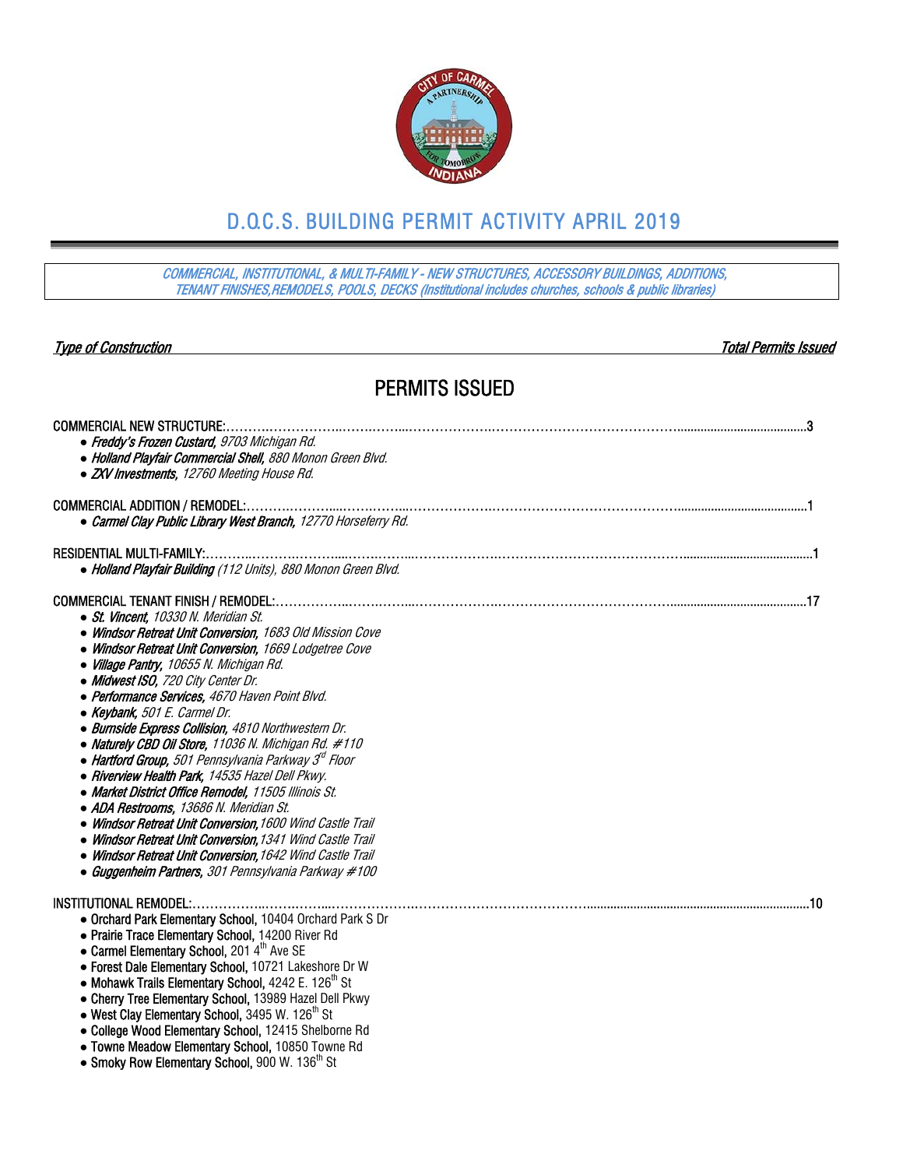

# D.O.C.S. BUILDING PERMIT ACTIVITY APRIL 2019

COMMERCIAL, INSTITUTIONAL, & MULTI-FAMILY - NEW STRUCTURES, ACCESSORY BUILDINGS, ADDITIONS, TENANT FINISHES,REMODELS, POOLS, DECKS (Institutional includes churches, schools & public libraries)

| <b>Type of Construction</b>                                                                                            | <b>Total Permits Issued</b> |
|------------------------------------------------------------------------------------------------------------------------|-----------------------------|
| <b>PERMITS ISSUED</b>                                                                                                  |                             |
| <b>COMMERCIAL NEW STRUCTURE:</b>                                                                                       |                             |
| • Freddy's Frozen Custard, 9703 Michigan Rd.<br>• Holland Playfair Commercial Shell, 880 Monon Green Blvd.             |                             |
| • ZXV Investments, 12760 Meeting House Rd.                                                                             |                             |
|                                                                                                                        |                             |
| • Carmel Clay Public Library West Branch, 12770 Horseferry Rd.                                                         |                             |
|                                                                                                                        |                             |
| • Holland Playfair Building (112 Units), 880 Monon Green Blvd.                                                         |                             |
| • St. Vincent, 10330 N. Meridian St.                                                                                   |                             |
| • Windsor Retreat Unit Conversion, 1683 Old Mission Cove                                                               |                             |
| • Windsor Retreat Unit Conversion, 1669 Lodgetree Cove                                                                 |                             |
| • Village Pantry, 10655 N. Michigan Rd.                                                                                |                             |
| • Midwest ISO, 720 City Center Dr.                                                                                     |                             |
| • Performance Services, 4670 Haven Point Blvd.<br>• Keybank, 501 E. Carmel Dr.                                         |                             |
| · Burnside Express Collision, 4810 Northwestern Dr.                                                                    |                             |
| • Naturely CBD Oil Store, 11036 N. Michigan Rd. #110                                                                   |                             |
| $\bullet$ Hartford Group, 501 Pennsylvania Parkway $3^d$ Floor                                                         |                             |
| • Riverview Health Park, 14535 Hazel Dell Pkwy.                                                                        |                             |
| • Market District Office Remodel, 11505 Illinois St.                                                                   |                             |
| • ADA Restrooms, 13686 N. Meridian St.                                                                                 |                             |
| • Windsor Retreat Unit Conversion, 1600 Wind Castle Trail<br>• Windsor Retreat Unit Conversion, 1341 Wind Castle Trail |                             |
| • Windsor Retreat Unit Conversion, 1642 Wind Castle Trail                                                              |                             |
| • Guggenheim Partners, 301 Pennsylvania Parkway #100                                                                   |                             |
| <b>INSTITUTIONAL REMODEL:</b>                                                                                          | 10                          |
| • Orchard Park Elementary School, 10404 Orchard Park S Dr                                                              |                             |
| • Prairie Trace Elementary School, 14200 River Rd                                                                      |                             |
| • Carmel Elementary School, 2014 <sup>th</sup> Ave SE                                                                  |                             |
| • Forest Dale Elementary School, 10721 Lakeshore Dr W<br>• Mohawk Trails Elementary School, $4242 E. 126th St$         |                             |
| • Cherry Tree Elementary School, 13989 Hazel Dell Pkwy                                                                 |                             |
| • West Clay Elementary School, 3495 W. 126 <sup>th</sup> St                                                            |                             |
| • College Wood Elementary School, 12415 Shelborne Rd                                                                   |                             |
| • Towne Meadow Elementary School, 10850 Towne Rd                                                                       |                             |
| • Smoky Row Elementary School, 900 W. 136 <sup>th</sup> St                                                             |                             |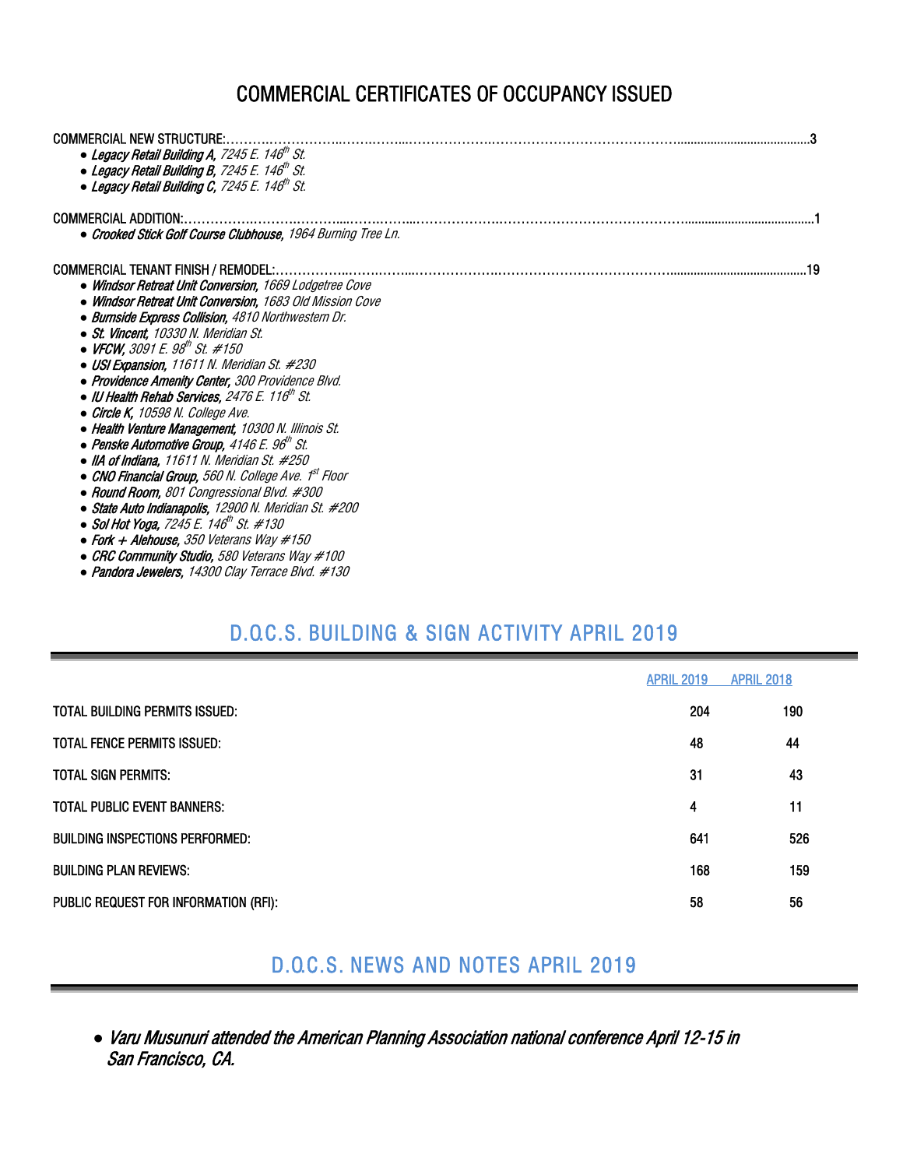# COMMERCIAL CERTIFICATES OF OCCUPANCY ISSUED

| <b>COMMERCIAL NEW STRUCTURE:</b>                                |
|-----------------------------------------------------------------|
| • Legacy Retail Building A, 7245 E. 146 <sup>th</sup> St.       |
| • Legacy Retail Building B, 7245 E. 146 <sup>th</sup> St.       |
| • Legacy Retail Building C, 7245 E. 146 <sup>th</sup> St.       |
| <b>COMMERCIAL ADDITION:</b>                                     |
| • Crooked Stick Golf Course Clubhouse, 1964 Burning Tree Ln.    |
|                                                                 |
| <b>COMMERCIAL TENANT FINISH / REMODEL:</b>                      |
| • Windsor Retreat Unit Conversion, 1669 Lodgetree Cove          |
| • Windsor Retreat Unit Conversion. 1683 Old Mission Cove        |
| · Burnside Express Collision, 4810 Northwestern Dr.             |
| • St. Vincent. 10330 N. Meridian St.                            |
| • VFCW, 3091 E. 98 <sup>th</sup> St. #150                       |
| • USI Expansion, 11611 N. Meridian St. #230                     |
| • Providence Amenity Center, 300 Providence Blvd.               |
| • IU Health Rehab Services, 2476 E. 116 <sup>th</sup> St.       |
| • Circle K, 10598 N. College Ave.                               |
| • Health Venture Management, 10300 N. Illinois St.              |
| $\bullet$ Penske Automotive Group, 4146 E. 96 <sup>th</sup> St. |
| $\bullet$ IIA of Indiana. 11611 N. Meridian St. #250            |
| • CNO Financial Group, 560 N. College Ave. 1st Floor            |
| • Round Room, 801 Congressional Blvd. #300                      |
| • State Auto Indianapolis, 12900 N. Meridian St. #200           |
| • Sol Hot Yoga, 7245 E. 146 <sup>th</sup> St. #130              |
| • Fork $+$ Alehouse, 350 Veterans Way $\#150$                   |
| • CRC Community Studio, 580 Veterans Way #100                   |
| • Pandora Jewelers, 14300 Clay Terrace Blvd. #130               |

# D.O.C.S. BUILDING & SIGN ACTIVITY APRIL 2019

|                                        | <b>APRIL 2019</b> | <b>APRIL 2018</b> |
|----------------------------------------|-------------------|-------------------|
| TOTAL BUILDING PERMITS ISSUED:         | 204               | 190               |
| <b>TOTAL FENCE PERMITS ISSUED:</b>     | 48                | 44                |
| <b>TOTAL SIGN PERMITS:</b>             | 31                | 43                |
| <b>TOTAL PUBLIC EVENT BANNERS:</b>     | 4                 | 11                |
| <b>BUILDING INSPECTIONS PERFORMED:</b> | 641               | 526               |
| <b>BUILDING PLAN REVIEWS:</b>          | 168               | 159               |
| PUBLIC REQUEST FOR INFORMATION (RFI):  | 58                | 56                |

## D.O.C.S. NEWS AND NOTES APRIL 2019

*●* Varu Musunuri attended the American Planning Association national conference April 12-15 in San Francisco, CA.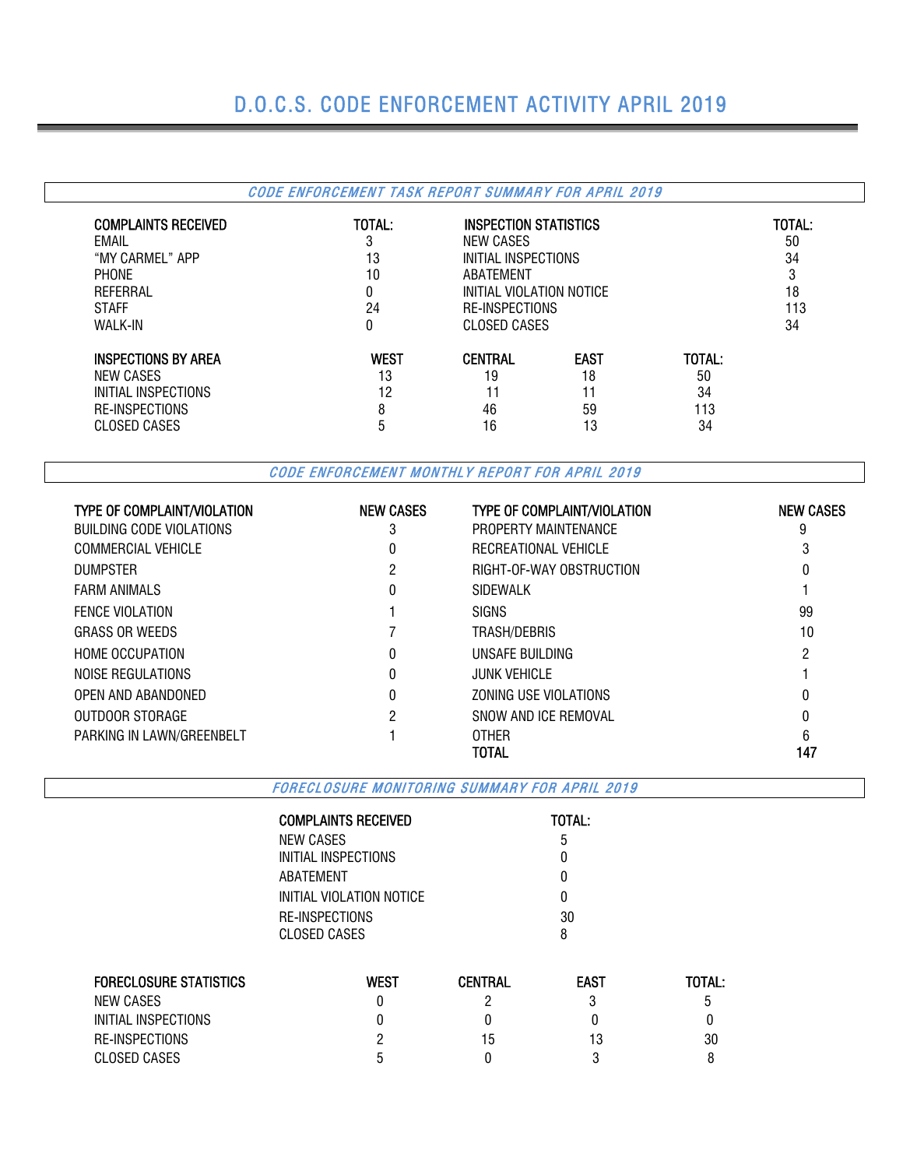# D.O.C.S. CODE ENFORCEMENT ACTIVITY APRIL 2019

#### CODE ENFORCEMENT TASK REPORT SUMMARY FOR APRIL 2019 COMPLAINTS RECEIVED TOTAL: INSPECTION STATISTICS TOTAL: EMAIL 3 NEW CASES 50 "MY CARMEL" APP 13 INITIAL INSPECTIONS 34 PHONE 3 ABATEMENT 3 3 REFERRAL 18 18 CONTROL CONTROL OF THE INITIAL VIOLATION NOTICE And ISLAMIC METAL ISLAMIC METAL OF THE ISLAMIC METAL OF THE ISLAMIC METAL OF THE ISLAMIC METAL OF THE ISLAMIC METAL OF THE ISLAMIC METAL OF THE ISLAMIC METAL O STAFF 24 RE-INSPECTIONS 113 CLOSED CASES INSPECTIONS BY AREA<br>
IS TOTAL:<br>
IS TO THE MEW CASES<br>
IS TO THE MEW CASES<br>
IS TO THE MEW CASES<br>
IS TO THE MEW CASES<br>
IS TO THE MEW CASES<br>
IS TOTAL: NEW CASES 60 13 19 18 18 19 18 INITIAL INSPECTIONS 0 24 12 11 11 11 34 RE-INSPECTIONS 8 46 59 113 CLOSED CASES 5 16 13 34

CODE ENFORCEMENT MONTHLY REPORT FOR APRIL 2019

| <b>TYPE OF COMPLAINT/VIOLATION</b> | <b>NEW CASES</b> | <b>TYPE OF COMPLAINT/VIOLATION</b> | <b>NEW CASES</b> |
|------------------------------------|------------------|------------------------------------|------------------|
| BUILDING CODE VIOLATIONS           | 3                | PROPERTY MAINTENANCE               | 9                |
| <b>COMMERCIAL VEHICLE</b>          | 0                | RECREATIONAL VEHICLE               |                  |
| <b>DUMPSTER</b>                    | 2                | RIGHT-OF-WAY OBSTRUCTION           | 0                |
| <b>FARM ANIMALS</b>                | 0                | SIDEWALK                           |                  |
| <b>FENCE VIOLATION</b>             |                  | <b>SIGNS</b>                       | 99               |
| <b>GRASS OR WEEDS</b>              |                  | TRASH/DEBRIS                       | 10               |
| <b>HOME OCCUPATION</b>             | 0                | UNSAFE BUILDING                    | 2                |
| NOISE REGULATIONS                  | 0                | <b>JUNK VEHICLE</b>                |                  |
| OPEN AND ABANDONED                 | 0                | ZONING USE VIOLATIONS              | 0                |
| OUTDOOR STORAGE                    | 2                | SNOW AND ICE REMOVAL               |                  |
| PARKING IN LAWN/GREENBELT          |                  | <b>OTHER</b>                       | h                |
|                                    |                  | TOTAL                              | 147              |

FORECLOSURE MONITORING SUMMARY FOR APRIL 2019

| COMPLAINTS RECEIVED      | <b>TOTAL:</b> |
|--------------------------|---------------|
| NEW CASES                | 5             |
| INITIAL INSPECTIONS      | N             |
| ABATEMENT                | O             |
| INITIAL VIOLATION NOTICE | O             |
| RE-INSPECTIONS           | 30            |
| CLOSED CASES             | 8             |

| <b>FORECLOSURE STATISTICS</b> | WEST | <b>CENTRAL</b> | <b>EAST</b> | TOTAL: |
|-------------------------------|------|----------------|-------------|--------|
| NEW CASES                     |      |                |             | b      |
| INITIAL INSPECTIONS           |      |                |             |        |
| RE-INSPECTIONS                |      | 15             | 13          | 30     |
| CLOSED CASES                  | h    |                |             |        |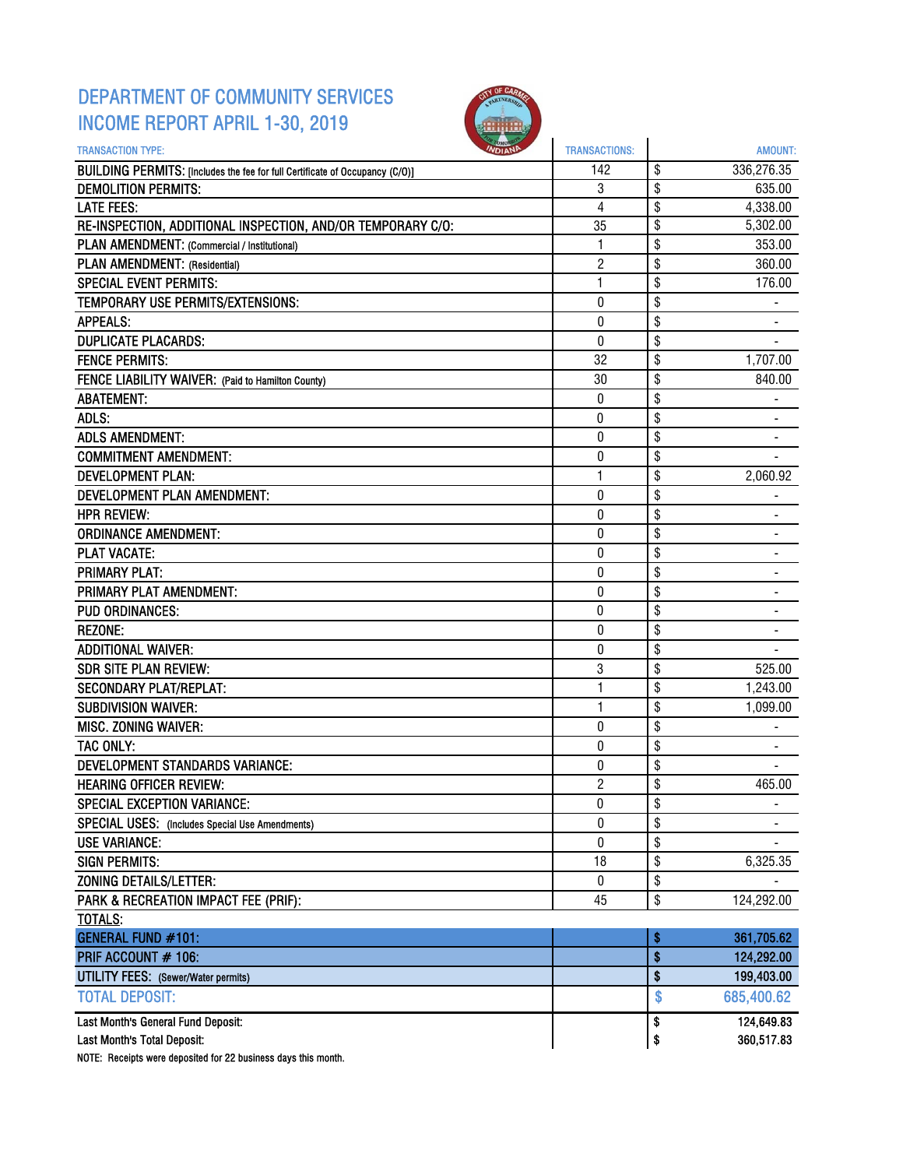### DEPARTMENT OF COMMUNITY SERVICES INCOME REPORT APRIL 1-30, 2019



| <b>TRANSACTION TYPE:</b>                                                     | <b>TRANSACTIONS:</b> | <b>AMOUNT:</b>       |
|------------------------------------------------------------------------------|----------------------|----------------------|
| BUILDING PERMITS: [Includes the fee for full Certificate of Occupancy (C/O)] | 142                  | \$<br>336,276.35     |
| <b>DEMOLITION PERMITS:</b>                                                   | 3                    | \$<br>635.00         |
| <b>LATE FEES:</b>                                                            | 4                    | \$<br>4,338.00       |
| RE-INSPECTION, ADDITIONAL INSPECTION, AND/OR TEMPORARY C/O:                  | 35                   | \$<br>5,302.00       |
| PLAN AMENDMENT: (Commercial / Institutional)                                 | 1                    | \$<br>353.00         |
| PLAN AMENDMENT: (Residential)                                                | $\overline{c}$       | \$<br>360.00         |
| <b>SPECIAL EVENT PERMITS:</b>                                                | $\mathbf{1}$         | \$<br>176.00         |
| TEMPORARY USE PERMITS/EXTENSIONS:                                            | 0                    | \$                   |
| <b>APPEALS:</b>                                                              | 0                    | \$<br>۰              |
| <b>DUPLICATE PLACARDS:</b>                                                   | $\mathbf{0}$         | \$                   |
| <b>FENCE PERMITS:</b>                                                        | 32                   | \$<br>1,707.00       |
| FENCE LIABILITY WAIVER: (Paid to Hamilton County)                            | 30                   | \$<br>840.00         |
| <b>ABATEMENT:</b>                                                            | 0                    | \$                   |
| ADLS:                                                                        | 0                    | \$                   |
| <b>ADLS AMENDMENT:</b>                                                       | 0                    | \$<br>$\blacksquare$ |
| <b>COMMITMENT AMENDMENT:</b>                                                 | 0                    | \$                   |
| <b>DEVELOPMENT PLAN:</b>                                                     | $\mathbf{1}$         | \$<br>2,060.92       |
| DEVELOPMENT PLAN AMENDMENT:                                                  | 0                    | \$                   |
| <b>HPR REVIEW:</b>                                                           | $\bf{0}$             | \$                   |
| <b>ORDINANCE AMENDMENT:</b>                                                  | 0                    | \$<br>۰              |
| <b>PLAT VACATE:</b>                                                          | 0                    | \$                   |
| <b>PRIMARY PLAT:</b>                                                         | 0                    | \$                   |
| PRIMARY PLAT AMENDMENT:                                                      | 0                    | \$                   |
| <b>PUD ORDINANCES:</b>                                                       | 0                    | \$                   |
| <b>REZONE:</b>                                                               | 0                    | \$                   |
| <b>ADDITIONAL WAIVER:</b>                                                    | 0                    | \$                   |
| <b>SDR SITE PLAN REVIEW:</b>                                                 | 3                    | \$<br>525.00         |
| <b>SECONDARY PLAT/REPLAT:</b>                                                | 1                    | \$<br>1,243.00       |
| <b>SUBDIVISION WAIVER:</b>                                                   | 1                    | \$<br>1,099.00       |
| MISC. ZONING WAIVER:                                                         | 0                    | \$                   |
| TAC ONLY:                                                                    | 0                    | \$                   |
| <b>DEVELOPMENT STANDARDS VARIANCE:</b>                                       | 0                    | \$                   |
| <b>HEARING OFFICER REVIEW:</b>                                               | $\overline{2}$       | \$<br>465.00         |
| SPECIAL EXCEPTION VARIANCE:                                                  | 0                    | \$                   |
| SPECIAL USES: (Includes Special Use Amendments)                              | 0                    | \$                   |
| <b>USE VARIANCE:</b>                                                         | $\pmb{0}$            | \$                   |
| <b>SIGN PERMITS:</b>                                                         | 18                   | \$<br>6,325.35       |
| <b>ZONING DETAILS/LETTER:</b>                                                | $\pmb{0}$            | \$                   |
| PARK & RECREATION IMPACT FEE (PRIF):                                         | 45                   | \$<br>124,292.00     |
| <b>TOTALS:</b>                                                               |                      |                      |
| <b>GENERAL FUND #101:</b>                                                    |                      | \$<br>361,705.62     |
| PRIF ACCOUNT # 106:                                                          |                      | \$<br>124,292.00     |
| <b>UTILITY FEES:</b> (Sewer/Water permits)                                   |                      | \$<br>199,403.00     |
| <b>TOTAL DEPOSIT:</b>                                                        |                      | \$<br>685,400.62     |
| Last Month's General Fund Deposit:                                           |                      | \$<br>124,649.83     |
| Last Month's Total Deposit:                                                  |                      | \$<br>360,517.83     |
|                                                                              |                      |                      |

NOTE: Receipts were deposited for 22 business days this month.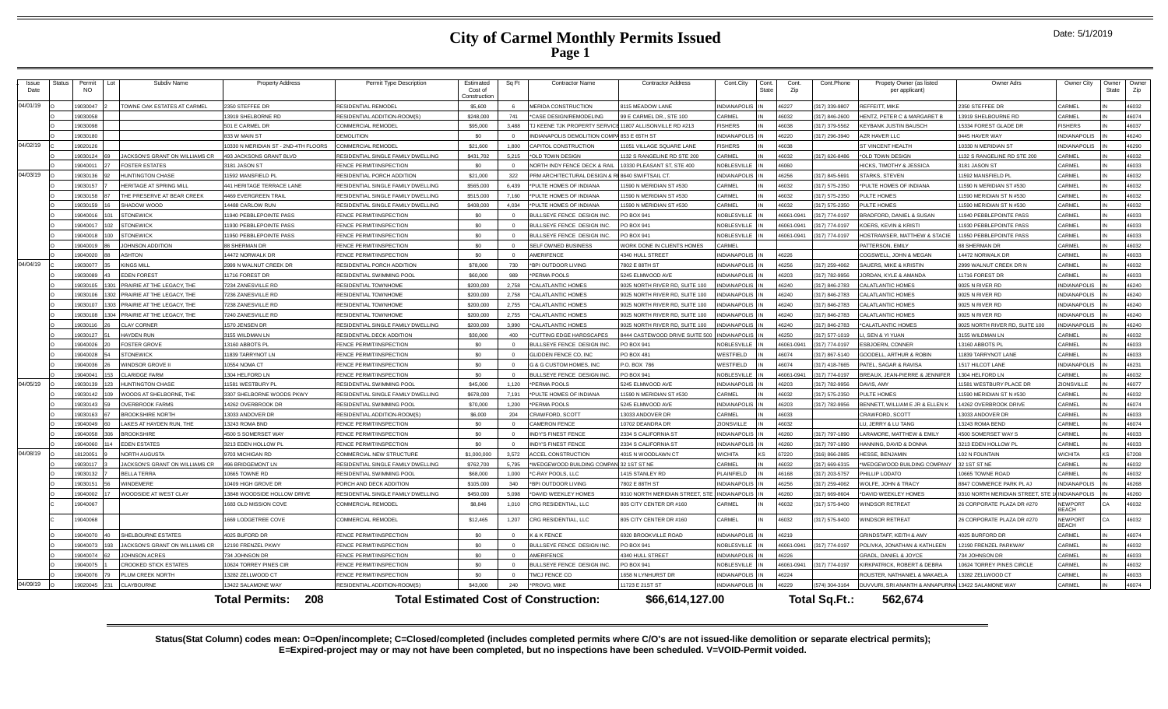|               |               |                     |     | Subdiv Name                    |                                      |                                    |                                      |          |                                              |                                   |                     |                       |              |                |                                            |                                 |                                |                |             |
|---------------|---------------|---------------------|-----|--------------------------------|--------------------------------------|------------------------------------|--------------------------------------|----------|----------------------------------------------|-----------------------------------|---------------------|-----------------------|--------------|----------------|--------------------------------------------|---------------------------------|--------------------------------|----------------|-------------|
| Issue<br>Date | <b>Status</b> | Permit<br><b>NO</b> |     |                                | <b>Property Address</b>              | Permit Type Description            | Estimated<br>Cost of<br>Construction | Sq Ft    | <b>Contractor Name</b>                       | <b>Contractor Address</b>         | Cont.City           | Cont.<br><b>State</b> | Cont.<br>Zip | Cont.Phone     | Propety Owner (as listed<br>per applicant) | Owner Adrs                      | Owner City                     | Owner<br>State | Owne<br>Zip |
| 04/01/19      |               | 19030047            |     | TOWNE OAK ESTATES AT CARMEL    | 2350 STEFFEE DR                      | RESIDENTIAL REMODEL                | \$5,600                              |          | MERIDA CONSTRUCTION                          | 115 MFADOW LANE                   | INDIANAPOLI         |                       | 46227        | 317) 339-9807  | REFEEITT. MIKE                             | 2350 STEFFEE DR                 | CARMEL                         |                | 46032       |
|               |               | 9030058             |     |                                | 13919 SHELBORNE RD                   | RESIDENTIAL ADDITION-ROOM(S)       | \$248,000                            | 741      | *CASE DESIGN/REMODELING                      | 99 E CARMEL DR., STE 100          | CARMEL              |                       | 46032        | 317) 846-2600  | <b>IENTZ, PETER C &amp; MARGARET I</b>     | 13919 SHELBOURNE RD             | CARMEL                         |                | 46074       |
|               |               | 19030098            |     |                                | 501 E CARMEL DR                      | <b>COMMERCIAL REMODEL</b>          | \$95,000                             | 3,488    | TJ KEENE TJK PROPERTY SERV                   | 11807 ALLISONVILLE RD #213        | <b>FISHERS</b>      |                       | 46038        | (317) 379-5562 | <b>KEYBANK JUSTIN BAUSCH</b>               | 15334 FOREST GLADE DR           | FISHERS                        |                | 46037       |
|               |               | 19030180            |     |                                | 833 W MAIN ST                        | <b>DEMOLITION</b>                  | \$0                                  | $\Omega$ | INDIANAPOLIS DEMOLITION COMP                 | 853 E 65TH ST                     | <b>INDIANAPOLI</b>  |                       | 46220        | 317) 296-3940  | AZR HAVER LLC                              | 9445 HAVER WAY                  | <b>INDIANAPOLIS</b>            |                | 46240       |
| 04/02/19      |               | 19020126            |     |                                | 10330 N MERIDIAN ST - 2ND-4TH FLOORS | COMMERCIAL REMODEL                 | \$21,600                             | 1,800    | CAPITOL CONSTRUCTION                         | 1051 VILLAGE SQUARE LANE          | <b>ISHERS</b>       |                       | 46038        |                | <b>ST VINCENT HEALTH</b>                   | 0330 N MERIDIAN ST              | <b>INDIANAPOLIS</b>            |                | 46290       |
|               |               | 19030124            |     | JACKSON'S GRANT ON WILLIAMS CR | 493 JACKSONS GRANT BLVD              | RESIDENTIAL SINGLE FAMILY DWELLING | \$431,702                            | 5.215    | *OLD TOWN DESIGN                             | 132 S RANGELINE RD STE 200        | ARMFI               |                       | 46032        | 317) 626-8486  | *OLD TOWN DESIGN                           | 132 S RANGELINE RD STE 200      | CARMEL                         |                | 46032       |
|               |               | 19040011            |     | <b>FOSTER ESTATES</b>          | 3181 JASON ST                        | FENCE PERMIT/INSPECTION            | \$0                                  | $\Omega$ | NORTH INDY FENCE DECK & RAI                  | 0330 PLEASANT ST, STE 400         | <b>VOBLESVILLE</b>  |                       | 46060        |                | <b>IICKS. TIMOTHY &amp; JESSICA</b>        | 3181 JASON ST                   | CARMEL                         |                | 46033       |
| 04/03/19      |               | 19030136            |     | <b>HUNTINGTON CHASE</b>        | 11592 MANSFIELD PL                   | RESIDENTIAL PORCH ADDITION         | \$21,000                             | 322      | PRM ARCHITECTURAL DESIGN &                   | <b>8640 SWIFTSAIL CT</b>          | INDIANAPOLI         |                       | 46256        | (317) 845-5691 | <b>STARKS, STEVEN</b>                      | 11592 MANSFIELD PI              | CARMEL                         |                | 46032       |
|               |               | 19030157            |     | HERITAGE AT SPRING MILL        | 441 HERITAGE TERRACE LANE            | RESIDENTIAL SINGLE FAMILY DWELLING | \$565,000                            | 6.439    | *PULTE HOMES OF INDIANA                      | 1590 N MERIDIAN ST #530           | CARMEL              |                       | 46032        | (317) 575-2350 | PULTE HOMES OF INDIANA                     | 1590 N MERIDIAN ST #530         | CARMEL                         |                | 46032       |
|               |               | 19030158            |     | THE PRESERVE AT BEAR CREEK     | 4469 EVERGREEN TRAIL                 | RESIDENTIAL SINGLE FAMILY DWELLING | \$515,000                            | 7,160    | *PULTE HOMES OF INDIANA                      | 1590 N MERIDIAN ST #530           | CARMEL              |                       | 46032        | 317) 575-2350  | PULTE HOMES                                | 1590 MERIDIAN ST N #530         | CARMEL                         |                | 46032       |
|               |               | 19030159            |     | SHADOW WOOD                    | 14488 CARLOW RUN                     | RESIDENTIAL SINGLE FAMILY DWELLING | \$408,000                            | 4.034    | *PULTE HOMES OF INDIANA                      | 1590 N MERIDIAN ST #530           | CARMEL              |                       | 46032        | 317) 575-2350  | PULTE HOMES                                | 1590 MERIDIAN ST N #530         | CARMEL                         |                | 46032       |
|               |               | 19040016            |     | <b>STONEWICK</b>               | 11940 PEBBLEPOINTE PASS              | FENCE PERMIT/INSPECTION            | \$0                                  |          | BULLSEYE FENCE DESIGN INC                    | PO BOX 941                        | <b>VOBLESVILLE</b>  |                       | 6061-0941    | 317) 774-0197  | <b>BRADFORD, DANIEL &amp; SUSAN</b>        | 1940 PEBBLEPOINTE PASS          | CARMEL                         |                | 46033       |
|               |               | 19040013            |     | <b>STONEWICK</b>               | 11930 PERRI EPOINTE PASS             | FENCE PERMIT/INSPECTION            | \$0                                  | $\Omega$ | <b>BULLSEYE FENCE DESIGN INC.</b>            | <b>PO BOX 941</b>                 | NOBLESVILLE         |                       | 16061-094    | 317) 774-0197  | <b>COFRS KEVIN &amp; KRIST</b>             | 1930 PEBBLEPOINTE PASS          | CARMEL                         |                | 46033       |
|               |               | 19040018            |     | <b>STONEWICK</b>               | 11950 PEBBLEPOINTE PASS              | FENCE PERMIT/INSPECTION            | \$0                                  | $\Omega$ | BULLSEYE FENCE DESIGN INC                    | PO BOX 941                        | <b>VOBLESVILLE</b>  |                       | 6061-0941    | 317) 774-0197  | <b>IOSTRAWSER, MATTHEW &amp; STACIE</b>    | 1950 PEBBLEPOINTE PASS          | CARMEL                         |                | 46033       |
|               |               | 19040019            |     | <b>JOHNSON ADDITION</b>        | 88 SHERMAN DR                        | FENCE PERMIT/INSPECTION            | \$0                                  | $\Omega$ | SELF OWNED BUSINESS                          | <b>NORK DONE IN CLIENTS HOMES</b> | <b>CARMEL</b>       |                       |              |                | <b>PATTERSON, FMILY</b>                    | 8 SHERMAN DR                    | CARMEL                         |                | 46032       |
|               |               | 19040020            |     | <b>ASHTON</b>                  | 14472 NORWALK DR                     | FENCE PERMIT/INSPECTION            | \$0                                  | $\Omega$ | AMERIFENCE                                   | <b>1340 HULL STREET</b>           | <b>NDIANAPOLIS</b>  |                       | 46226        |                | COGSWELL, JOHN & MEGAN                     | 14472 NORWALK DR                | CARMEL                         |                | 46033       |
| 04/04/19      |               | 19030077            |     | <b>KINGS MILL</b>              | 2999 N WALNUT CREEK DR               | RESIDENTIAL PORCH ADDITION         | \$78,000                             | 730      | *BPI OUTDOOR LIVING                          | 7802 E 88TH ST                    | <b>NDIANAPOLI</b>   |                       | 46256        | 317) 259-4062  | <b>SAUERS, MIKE &amp; KRISTIN</b>          | 999 WALNUT CREEK DR N           | CARME                          |                | 46032       |
|               |               | 19030089            |     | <b>EDEN FOREST</b>             | 11716 FOREST DR                      | RESIDENTIAL SWIMMING POO           | \$60,000                             | 989      | *PERMA POOLS                                 | 5245 ELMWOOD AVE                  | NDIANAPOLI          |                       | 46203        | (317) 782-9956 | ORDAN KYLE & AMANDA                        | 11716 FOREST DF                 | CARMEL                         |                | 46033       |
|               |               | 9030105             |     | PRAIRIE AT THE LEGACY, THE     | 7234 ZANESVILLE RD                   | RESIDENTIAL TOWNHOME               | \$200,000                            | 2,758    | *CALATLANTIC HOMES                           | 025 NORTH RIVER RD, SUITE 100     | <b>NDIANAPOLIS</b>  |                       | 46240        | 317) 846-2783  | CALATLANTIC HOMES                          | 9025 N RIVER RD                 | <b>NDIANAPOLIS</b>             |                | 46240       |
|               |               | 19030106            |     | 302 PRAIRIE AT THE LEGACY. THE | 7236 ZANESVILLE RD                   | RESIDENTIAL TOWNHOME               | \$200,000                            | 2,758    | *CALATLANTIC HOMES                           | 025 NORTH RIVER RD, SUITE 100     | <b>NDIANAPOLIS</b>  |                       | 46240        | 317) 846-2783  | CALATLANTIC HOMES                          | 9025 N RIVER RD                 | <b>INDIANAPOLIS</b>            |                | 46240       |
|               |               | 19030107            |     | 303 PRAIRIE AT THE LEGACY. THE | 7238 ZANESVILLE RD                   | RESIDENTIAL TOWNHOME               | \$200,000                            | 2,755    | *CALATLANTIC HOMES                           | 025 NORTH RIVER RD. SUITE 100     | NDIANAPOLIS         |                       | 46240        | 317) 846-2783  | CALATLANTIC HOMES                          | 9025 N RIVER RD                 | <b>NDIANAPOLIS</b>             |                | 46240       |
|               |               | 19030108            | 304 | PRAIRIE AT THE LEGACY. THE     | 7240 ZANESVILLE RD                   | <b>RESIDENTIAL TOWNHOME</b>        | \$200,000                            | 2.755    | *CALATLANTIC HOMES                           | 1025 NORTH RIVER RD. SUITE 100    | <b>NDIANAPOLIS</b>  |                       | 46240        | (317) 846-2783 | CALATLANTIC HOMES                          | 9025 N RIVER RD                 | <b>INDIANAPOLIS</b>            |                | 46240       |
|               |               | 19030116            |     | <b>CLAY CORNER</b>             | 1570 JENSEN DR                       | RESIDENTIAL SINGLE FAMILY DWELLING | \$200,000                            | 3.990    | *CALATLANTIC HOMES                           | 9025 NORTH RIVER RD, SUITE 100    | <b>NDIANAPOLIS</b>  |                       | 46240        | 317) 846-2783  | CALATLANTIC HOMES                          | 0025 NORTH RIVER RD, SUITE 100  | <b>INDIANAPOLIS</b>            |                | 46240       |
|               |               | 19030127            |     | <b>HAYDEN RUN</b>              | 3155 WILDMAN LN                      | RESIDENTIAL DECK ADDITION          | \$30,000                             | 400      | *CUTTING EDGE HARDSCAPES                     | 8444 CASTEWOOD DRIVE SUITE 500    | <b>INDIANAPOLIS</b> |                       | 46250        | 317) 577-1019  | I. SEN & YI YUAN                           | 3155 WILDMAN LN                 | CARMEL                         |                | 46032       |
|               |               | 19040026            |     | <b>FOSTER GROVE</b>            | 13160 ABBOTS PL                      | FENCE PERMIT/INSPECTION            | \$0                                  | $\Omega$ | BULLSEYE FENCE DESIGN INC.                   | PO BOX 94                         | <b>JOBLESVILLE</b>  |                       | 46061-0941   | 317) 774-0197  | <b>SBJOERN, CONNER</b>                     | 3160 ABBOTS PL                  | CARMEL                         |                | 46033       |
|               |               | 9040028             |     | <b>STONEWICK</b>               | 11839 TARRYNOT LI                    | FENCE PERMIT/INSPECTION            | \$0                                  |          | GLIDDEN FENCE CO. INC.                       | <b>PO BOX 481</b>                 | <b>NESTFIELD</b>    |                       | 6074         | 317) 867-5140  | <b>SOODELL, ARTHUR &amp; ROBIN</b>         | 1839 TARRYNOT LANE              | CARMEL                         |                | 46033       |
|               |               | 19040036            |     | WINDSOR GROVE                  | 10554 NOMA CT                        | FENCE PERMIT/INSPECTION            | \$0                                  |          | <b>G &amp; G CUSTOM HOMES, INC</b>           | P.O. BOX 786                      | WESTFIELD           |                       | 6074         | 317) 418-7665  | PATEL, SAGAR & RAVISA                      | 1517 HILCOT LANE                | INDIANAPOLI                    |                | 46231       |
|               |               | 19040041            | 153 | <b>CLARIDGE FARM</b>           | 1304 HELFORD LN                      | FENCE PERMIT/INSPECTION            | \$0                                  | $\sim$   | BULLSEYE FENCE DESIGN INC.                   | PO BOX 941                        | NOBLESVILLE         |                       | 46061-0941   | (317) 774-0197 | BREAUX, JEAN-PIERRE & JENNIFER             | 1304 HELFORD LN                 | CARMEL                         |                | 46032       |
| 04/05/19      |               | 19030139            |     | <b>HUNTINGTON CHASE</b>        | 11581 WESTBURY PL                    | RESIDENTIAL SWIMMING POOL          | \$45,000                             | 1.120    | *PERMA POOLS                                 | 5245 ELMWOOD AVE                  | <b>INDIANAPOLIS</b> |                       | 46203        | 317) 782-9956  | DAVIS, AMY                                 | 1581 WESTBURY PLACE DR          | <b>ZIONSVILLE</b>              |                | 46077       |
|               |               | 19030142            |     | WOODS AT SHELBORNE. THE        | 3307 SHELBORNE WOODS PKWY            | RESIDENTIAL SINGLE FAMILY DWELLING | \$678,000                            | 7.191    | *PULTE HOMES OF INDIANA                      | 1590 N MERIDIAN ST #530           | ARMEL               |                       | 46032        | 317) 575-2350  | PULTE HOMES                                | 1590 MERIDIAN ST N #530         | CARMEL                         |                | 46032       |
|               |               | 19030143            |     | <b>OVERBROOK FARMS</b>         | 14262 OVERBROOK DI                   | RESIDENTIAL SWIMMING POO           | \$70,000                             | 1.200    | *PERMA POOLS                                 | 5245 ELMWOOD AVE                  | NDIANAPOL           |                       | 46203        | 317) 782-9956  | BENNETT, WILLIAM E JR & ELLEN K            | 14262 OVERBROOK DRIVE           | CARMEL                         |                | 46074       |
|               |               | 23102015            |     | <b>BROOKSHIRE NORTH</b>        | 13033 ANDOVER DR                     | RESIDENTIAL ADDITION-ROOM(S)       | \$6,000                              | 204      | CRAWFORD, SCOTT                              | 13033 ANDOVER DR                  | <b>ARMEL</b>        |                       | 46033        |                | CRAWFORD, SCOTT                            | 3033 ANDOVER DR                 | CARMEL                         |                | 46033       |
|               |               | 19040049            |     | LAKES AT HAYDEN RUN. THE       | 13243 ROMA BND                       | FENCE PERMIT/INSPECTION            | \$0                                  | $\Omega$ | <b>CAMERON FENCE</b>                         | 10702 DEANDRA DR                  | ZIONSVILLE          |                       | 46032        |                | U. JERRY & LU TANG                         | 13243 ROMA BEND                 | CARMEL                         |                | 46074       |
|               |               | 19040058            |     | <b>BROOKSHIRE</b>              | 4500 S SOMFRSFT WAY                  | FENCE PERMIT/INSPECTION            | \$0                                  | $\Omega$ | <b>INDY'S FINEST FENCE</b>                   | 2334 S CALIFORNIA ST              | NDIANAPOLIS         |                       | 46260        | 317) 797-1890  | LARAMORE, MATTHEW & EMILY                  | 500 SOMERSET WAY S              | CARMEL                         |                | 46033       |
|               |               | 19040060            |     | <b>EDEN ESTATES</b>            | 3213 EDEN HOLLOW PL                  | FENCE PERMIT/INSPECTION            | \$0                                  | $\Omega$ | <b>INDY'S FINEST FENCE</b>                   | 2334 S CALIFORNIA ST              | NDIANAPOLIS         |                       | 16260        | 317) 797-1890  | HANNING, DAVID & DONNA                     | 3213 EDEN HOLLOW PL             | CARMEL                         |                | 46033       |
| 04/08/19      |               | 18120051            |     | NORTH AUGUSTA                  | 9703 MICHIGAN RD                     | COMMERCIAL NEW STRUCTURE           | \$1,000,000                          | 3.572    | <b>ACCEL CONSTRUCTION</b>                    | 4015 N WOODLAWN CT                | <b>NICHITA</b>      |                       | 67220        | 316) 866-2885  | <b>IESSE, BENJAMIN</b>                     | 102 N FOUNTAIN                  | <b>WICHITA</b>                 | KS             | 67208       |
|               |               | 19030117            |     | JACKSON'S GRANT ON WILLIAMS CR | 496 BRIDGEMONT LN                    | RESIDENTIAL SINGLE FAMILY DWELLING | \$762,700                            | 5.795    | *WEDGEWOOD BUILDING COMPA                    | 32 1ST ST NE                      | CARMEL              |                       | 46032        | 317) 669-6315  | WEDGEWOOD BUILDING COMPANY                 | 32 1ST ST NE                    | CARMEL                         |                | 46032       |
|               |               | 19030132            |     | <b>BELLA TERRA</b>             | 10665 TOWNE RD                       | RESIDENTIAL SWIMMING POOL          | \$68,000                             | 1.000    | *C-RAY POOLS, LLC                            | 1415 STANLEY RD                   | <b>PLAINFIELD</b>   |                       | 46168        | 317) 203-5757  | <b>HILLIP LODATO</b>                       | 0665 TOWNE ROAD                 | CARMEL                         |                | 46032       |
|               |               | 19030151            |     | WINDEMERE                      | 10409 HIGH GROVE DR                  | PORCH AND DECK ADDITION            | \$105,000                            | 340      | *BPI OUTDOOR LIVING                          | 7802 E 88TH ST                    | <b>NDIANAPOLIS</b>  |                       | 46256        | 317) 259-4062  | <b>VOLFE, JOHN &amp; TRACY</b>             | 8847 COMMERCE PARK PL #J        | <b>INDIANAPOLIS</b>            |                | 46268       |
|               |               | 19040002            |     | WOODSIDE AT WEST CLAY          | 13848 WOODSIDE HOLLOW DRIVE          | RESIDENTIAL SINGLE FAMILY DWELLING | \$450,000                            | 5.098    | *DAVID WEEKLEY HOMES                         | 9310 NORTH MERIDIAN STREET, STE   | <b>INDIANAPOLIS</b> |                       | 46260        | 317) 669-8604  | DAVID WEEKLEY HOMES                        | 3310 NORTH MERIDIAN STREET, STE | <b>INDIANAPOLIS</b>            |                | 46260       |
|               |               | 19040067            |     |                                | 1683 OLD MISSION COVE                | COMMERCIAL REMODE                  | \$8,846                              | 1,010    | CRG RESIDENTIAL, LLC                         | 305 CITY CENTER DR #160           | CARMEL              |                       | 46032        | 317) 575-9400  | <b>INDSOR RETREAT</b>                      | 26 CORPORATE PLAZA DR #270      | <b>NEWPORT</b><br><b>BEACH</b> |                | 46032       |
|               |               | 19040068            |     |                                | 1669 LODGETREE COVE                  | COMMERCIAL REMODEL                 | \$12,465                             | 1,207    | CRG RESIDENTIAL, LLC                         | 805 CITY CENTER DR #160           | CARMEL              |                       | 46032        | 317) 575-9400  | <b>VINDSOR RETREAT</b>                     | 26 CORPORATE PLAZA DR #270      | <b>NFWPORT</b><br><b>BEACH</b> | CА             | 46032       |
|               |               | 19040070            |     | SHELBOURNE ESTATES             | 4025 BUFORD DR                       | FENCE PERMIT/INSPECTION            | \$0                                  | $\Omega$ | <b>K &amp; K FENCE</b>                       | 6920 BROOKVILLE ROAD              | <b>INDIANAPOLI</b>  |                       | 46219        |                | <b>SRINDSTAFF, KFITH &amp; AMY</b>         | 4025 BURFORD DR                 | CARMEL                         |                | 46074       |
|               |               | 19040073            | 193 | JACKSON'S GRANT ON WILLIAMS CR | 12190 FRENZEL PKWY                   | FENCE PERMIT/INSPECTION            | \$0                                  | $\Omega$ | BULLSEYE FENCE DESIGN INC.                   | PO BOX 941                        | NOBLESVILLE         |                       | 46061-0941   | 317) 774-0197  | POLIVKA, JONATHAN & KATHLEEN               | 12190 FRENZEL PARKWAY           | CARMEL                         |                | 46032       |
|               |               | 19040074            |     | <b>JOHNSON ACRES</b>           | 734 JOHNSON DR                       | FENCE PERMIT/INSPECTION            | \$0                                  | $\Omega$ | AMERIFENCE                                   | 4340 HULL STREET                  | <b>INDIANAPOLIS</b> |                       | 46226        |                | <b>GRADL, DANIEL &amp; JOYCE</b>           | 734 JOHNSON DR                  | CARMEL                         |                | 46033       |
|               |               | 19040075            |     | <b>CROOKED STICK ESTATES</b>   | 10624 TORREY PINES CIR               | FENCE PERMIT/INSPECTION            | \$0                                  | $\Omega$ | BULLSEYE FENCE DESIGN INC                    | PO BOX 941                        | <b>VOBLESVILLE</b>  |                       | 6061-0941    | 317) 774-0197  | KIRKPATRICK, ROBERT & DEBRA                | 10624 TORREY PINES CIRCLE       | CARMEL                         |                | 46032       |
|               |               | 19040076            |     | PLUM CREEK NORTH               | 13282 ZELLWOOD CT                    | FENCE PERMIT/INSPECTION            | \$0                                  |          | TMCJ FENCE CO                                | 1658 N LYNHURST DR                | <b>INDIANAPOLIS</b> |                       | 6224         |                | ROUSTER, NATHANIEL & MAKAEL                | 3282 ZELLWOOD CT                | CARMEL                         |                | 46033       |
| 04/09/19      |               | 19020045            |     | CLAYBOURNE                     | 13422 SAI AMONE WAY                  | RESIDENTIAL ADDITION-ROOM(S)       | \$43,000                             |          | <b>PROVO MIKE</b>                            | 11723 E 21ST ST                   | <b>INDIANAPOLIS</b> |                       | 46229        | 574) 304-3164  | DUVVURI, SRI ANANTH & ANNAPURNA            | 13422 SALAMONE WAY              | CARMEL                         |                | 46074       |
|               |               |                     |     |                                | 208<br><b>Total Permits:</b>         |                                    |                                      |          | <b>Total Estimated Cost of Construction:</b> | \$66,614,127.00                   |                     |                       |              | Total Sq.Ft.:  | 562.674                                    |                                 |                                |                |             |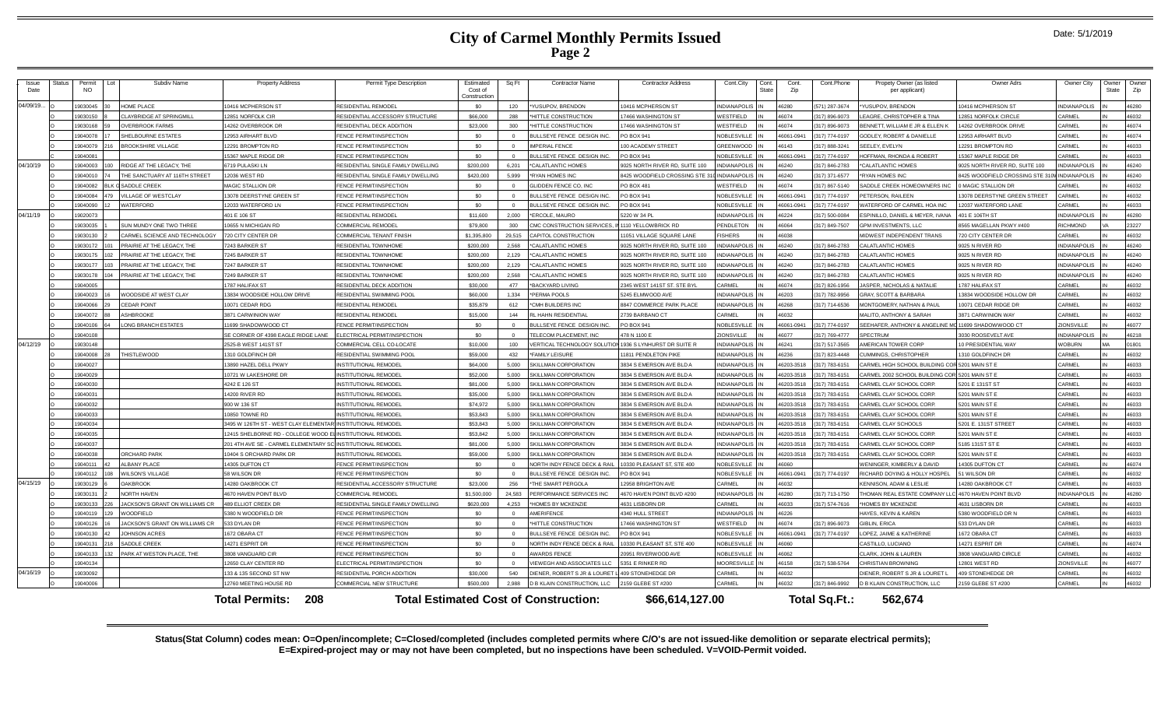--Issue Date

| Issue<br>Date | <b>Status</b> | Permit<br>NO. | Lot<br>Subdiv Name                | <b>Property Address</b>                                     | Permit Type Description            | Estimated<br>Cost of<br>Construction | Sq Ft      | <b>Contractor Name</b>                       | <b>Contractor Address</b>      | Cont.City          | Cont.<br>State | Cont.<br>Zin | Cont.Phone    | Propety Owner (as listed<br>per applicant)           | Owner Adrs                     | Owner City          | Owner<br>State | Owne<br>Zip |
|---------------|---------------|---------------|-----------------------------------|-------------------------------------------------------------|------------------------------------|--------------------------------------|------------|----------------------------------------------|--------------------------------|--------------------|----------------|--------------|---------------|------------------------------------------------------|--------------------------------|---------------------|----------------|-------------|
| 04/09/19.     |               | 9030045       | HOME PLACE                        | 10416 MCPHERSON ST                                          | <b>ESIDENTIAL REMODEL</b>          | \$0                                  | $120 -$    | <b>/USUPOV, BRENDON</b>                      | 0416 MCPHERSON ST              | NDIANAPOLIS        |                | 6280         | 571) 287-3674 | *YUSUPOV, BRENDON                                    | 0416 MCPHERSON ST              | <b>INDIANAPOLIS</b> |                | 46280       |
|               |               | 9030150       | LAYBRIDGE AT SPRINGMILL           | 12851 NORFOLK CIR                                           | RESIDENTIAL ACCESSORY STRUCTURE    | \$66,000                             | 288        | *HITTLE CONSTRUCTION                         | 7466 WASHINGTON ST             | VESTFIELD          |                | 46074        | 317) 896-9073 | LEAGRE, CHRISTOPHER & TINA                           | 2851 NORFOLK CIRCLE            | CARMEL              |                | 46032       |
|               |               | 83102019      | <b>OVERBROOK FARMS</b>            | 14262 OVERBROOK DF                                          | RESIDENTIAL DECK ADDITION          | \$23,000                             | 300        | *HITTLE CONSTRUCTION                         | 17466 WASHINGTON ST            | <b>NESTFIELD</b>   |                | 46074        | 317) 896-9073 | BENNETT. WILLIAM E JR & ELLEN K                      | 4262 OVERBROOK DRIVE           | CARMEL              |                | 46074       |
|               |               | 19040078      | SHELBOURNE ESTATES                | 12953 AIRHART BLVD                                          | FENCE PERMIT/INSPECTION            | \$0                                  |            | BULLSEYE FENCE DESIGN INC.                   | O BOX 941                      | NOBLESVILLE        |                | 46061-0941   | 317) 774-0197 | <b>GODLEY, ROBERT &amp; DANIELLE</b>                 | 12953 AIRHART BLVD             | CARMEL              |                | 46074       |
|               |               | 19040079      | <b>BROOKSHIRE VILLAGE</b>         | 12291 BROMPTON RD                                           | FENCE PERMIT/INSPECTION            | \$0                                  |            | <b>IMPERIAL FENCE</b>                        | 00 ACADEMY STREET              | <b>GREENWOOD</b>   |                | 46143        | 317) 888-3241 | SEELEY, EVELYN                                       | 2291 BROMPTON RD               | CARMEL              |                | 46033       |
|               |               | 19040081      |                                   | 15367 MAPLE RIDGE DR                                        | FENCE PERMIT/INSPECTION            | \$0                                  |            | BULLSEYE FENCE DESIGN INC.                   | PO BOX 941                     | NOBLESVILLE        |                | 46061-0941   | 317) 774-0197 | HOFFMAN, RHONDA & ROBERT                             | 5367 MAPLE RIDGE DR            | <b>ARMEL</b>        |                | 46033       |
| 04/10/19      |               | 19040003      | RIDGE AT THE LEGACY. THE          | 6719 PULASKI LN                                             | RESIDENTIAL SINGLE FAMILY DWELLING | \$200,000                            | 6.201      | CALATLANTIC HOMES                            | 025 NORTH RIVER RD, SUITE 100  | <b>NDIANAPOLIS</b> |                | 46240        | 317) 846-2783 | *CALATLANTIC HOMES                                   | 025 NORTH RIVER RD, SUITE 100  | <b>INDIANAPOLIS</b> |                | 46240       |
|               |               | 19040010      | HE SANCTUARY AT 116TH STREET      | 12036 WEST RD                                               | RESIDENTIAL SINGLE FAMILY DWELLING | \$420,000                            | 5,999      | YAN HOMES INC                                | 8425 WOODFIELD CROSSING STE 31 | NDIANAPOLIS        |                | 6240         | 317) 371-6577 | *RYAN HOMES INC                                      | 8425 WOODFIELD CROSSING STE 31 | <b>INDIANAPOLIS</b> |                | 46240       |
|               |               | 9040082       | SADDI F CREEK                     | <b>MAGIC STALLION DR</b>                                    | FENCE PERMIT/INSPECTION            | \$0                                  | $\sqrt{2}$ | GLIDDEN FENCE CO. INC                        | <b>PO BOX 481</b>              | <b>NESTFIELD</b>   |                | 46074        | 317) 867-5140 | SADDLE CREEK HOMEOWNERS INC                          | MAGIC STALLION DR              | CARMEL              |                | 46032       |
|               |               | 9040084       | <b>ILLAGE OF WESTCLAY</b>         | 13078 DEERSTYNE GREEN ST                                    | FENCE PERMIT/INSPECTION            | \$0                                  |            | BULLSEYE FENCE DESIGN INC                    | O BOX 941                      | NOBLESVILLE        |                | 46061-0941   | 317) 774-0197 | PETERSON, RAILEEN                                    | 3078 DEERSTYNE GREEN STREET    | <b>ARMEL</b>        |                | 46032       |
|               |               | 9040090       | VATERFORD                         | 12033 WATERFORD LN                                          | FENCE PERMIT/INSPECTION            | \$0                                  |            | BULLSEYE FENCE DESIGN INC                    | O BOX 941                      | <b>NOBLESVILLE</b> |                | 46061-0941   | 317) 774-0197 | WATERFORD OF CARMEL HOA INC                          | 2037 WATERFORD LANE            | <b>CARMEL</b>       |                | 46033       |
| 04/11/19      |               | 9020073       |                                   | 401 E 106 ST                                                | RESIDENTIAL REMODEL                | \$11,600                             | 2,000      | *ERCOLE, MAURO                               | 5220 W 34 PL                   | NDIANAPOLIS        |                | 6224         | 317) 500-0084 | ESPINILLO, DANIEL & MEYER, IVANA                     | 401 E 106TH ST                 | NDIANAPOLIS         |                | 46280       |
|               |               | 19030035      | SUN MUNDY ONE TWO THREE           | 10655 N MICHIGAN RD                                         | COMMERCIAL REMODEI                 | \$79,800                             | 300        | CMC CONSTRUCTION SERVICES                    | 110 YELLOWBRICK RD             | PENDLETON          |                | 46064        | 317) 849-7507 | <b>GPM INVESTMENTS, LLC</b>                          | 8565 MAGELLAN PKWY #400        | RICHMOND            |                | 23227       |
|               |               | 19030130      | CARMEL SCIENCE AND TECHNOLOGY     | 720 CITY CENTER DR                                          | COMMERCIAL TENANT FINISH           | \$1,395,800                          | 29.515     | APITOL CONSTRUCTION                          | 1051 VILLAGE SQUARE LANE       | <b>ISHERS</b>      |                | 46038        |               | MIDWEST INDEPENDENT TRANS                            | 720 CITY CENTER DR             | CARMEL              |                | 46032       |
|               |               | 19030172      | PRAIRIE AT THE LEGACY, THE        | 7243 BARKER ST                                              | RESIDENTIAL TOWNHOME               | \$200,000                            | 2.568      | *CALATLANTIC HOMES                           | 9025 NORTH RIVER RD, SUITE 100 | NDIANAPOLIS        |                | 46240        | 317) 846-2783 | CALATLANTIC HOMES                                    | 9025 N RIVER RD                | <b>NDIANAPOLIS</b>  |                | 46240       |
|               |               | 19030175      | PRAIRIE AT THE LEGACY, THE        | 7245 BARKER ST                                              | RESIDENTIAI TOWNHOME               | \$200,000                            | 2.129      | *CALATI ANTIC HOMES                          | 1025 NORTH RIVER RD SUITE 100  | NDIANAPOLIS        |                | 46240        | 317) 846-2783 | CALATLANTIC HOMES                                    | 9025 N RIVER RD                | NDIANAPOLIS         |                | 46240       |
|               |               | 19030177      | <b>PRAIRIE AT THE LEGACY. THE</b> | 7247 BARKER ST                                              | RESIDENTIAL TOWNHOME               | \$200,000                            | 2.129      | <b>ALATLANTIC HOMES</b>                      | 025 NORTH RIVER RD, SUITE 100  | NDIANAPOLIS        |                | 46240        | 317) 846-2783 | <b>CALATLANTIC HOMES</b>                             | 025 N RIVER RD                 | <b>NDIANAPOLIS</b>  |                | 46240       |
|               |               | 19030178      | PRAIRIE AT THE LEGACY. THE        | 7249 BARKER ST                                              | RESIDENTIAL TOWNHOM                | \$200,000                            | 2.568      | CALATLANTIC HOMES                            | 9025 NORTH RIVER RD SUITE 100  | NDIANAPOLIS        |                | 46240        | 317) 846-2783 | CALATLANTIC HOMES                                    | 9025 N RIVER RD                | NDIANAPOLIS         |                | 46240       |
|               |               | 19040005      |                                   | 1787 HALIFAX ST                                             | RESIDENTIAL DECK ADDITION          | \$30,000                             | 477        | <b>BACKYARD LIVING</b>                       | 2345 WEST 141ST ST, STE BY     | ARMEL              |                | 46074        | 317) 826-1956 | JASPER, NICHOLAS & NATALIE                           | 1787 HALIFAX ST                | ARMEL               |                | 46032       |
|               |               | 9040023       | WOODSIDE AT WEST CLAY             | 13834 WOODSIDE HOLLOW DRIVE                                 | RESIDENTIAL SWIMMING POOL          | \$60,000                             | 1.334      | <b>ERMA POOLS</b>                            | 5245 ELMWOOD AVE               | <b>NDIANAPOLIS</b> |                | 46203        | 317) 782-9956 | <b>GRAY, SCOTT &amp; BARBARA</b>                     | 3834 WOODSIDE HOLLOW DR        | CARMEL              |                | 46032       |
|               |               | 88004006      | <b>CEDAR POINT</b>                | 10071 CEDAR RDG                                             | RESIDENTIAL REMODEL                | \$35,879                             | 612        | CMH BUILDERS INC.                            | 8847 COMMERCE PARK PLACE       | <b>NDIANAPOLIS</b> |                | 46268        | 317) 714-6536 | MONTGOMERY, NATHAN & PAUL                            | 0071 CEDAR RIDGE DR            | <b>CARMEL</b>       |                | 46032       |
|               |               | 19040072      | ASHRROOKE                         | 3871 CARWINION WAY                                          | RESIDENTIAL REMODEL                | \$15,000                             | 144        | L HAHN RESIDENTIAL                           | 2739 BARBANO CT                | <b>ARMEL</b>       |                | 36032        |               | MALITO, ANTHONY & SARAH                              | 3871 CARWINION WAY             | <b>CARMEL</b>       |                | 46032       |
|               |               | 19040106      | ONG BRANCH ESTATES                | 11699 SHADOWWOOD CT                                         | FENCE PERMIT/INSPECTION            | \$0                                  |            | ULLSEYE FENCE DESIGN INC                     | PO BOX 941                     | NOBLESVILLE        |                | 46061-0941   | 317) 774-0197 | SEEHAFER, ANTHONY & ANGELINE MC 11699 SHADOWWOOD CT  |                                | ZIONSVILLE          |                | 46077       |
|               |               | 19040108      |                                   | SE CORNER OF 4398 EAGLE RIDGE LANE                          | ELECTRICAL PERMIT/INSPECTION       | \$0                                  |            | FLECOM PLACEMENT. INC.                       | 478 N 1100 F                   | <b>ZIONSVILLE</b>  |                | 46077        | 317) 769-4777 | SPECTRUM                                             | 3030 ROOSEVELT AVE             | INDIANAPOLIS        |                | 46218       |
| 04/12/19      |               | 19030148      |                                   | 2525-B WEST 141ST ST                                        | COMMERCIAL CELL CO-LOCATE          | \$10,000                             | 100        | ERTICAL TECHNOLOGY SOLU'                     | 1936 S LYNHURST DR SUITE F     | <b>NDIANAPOLIS</b> |                | 46241        | 317) 517-3565 | AMERICAN TOWER CORP                                  | 10 PRESIDENTIAL WAY            | <b>VOBURN</b>       |                | 01801       |
|               |               | 9040008       | <b>HISTLEWOOD</b>                 | 1310 GOLDFINCH DR                                           | RESIDENTIAL SWIMMING POOL          | \$59,000                             | 432        | *FAMILY LEISURE                              | 11811 PENDLETON PIKE           | NDIANAPOLIS        |                | 46236        | 317) 823-4448 | CUMMINGS, CHRISTOPHER                                | 1310 GOLDFINCH DR              | CARMEL              |                | 46032       |
|               |               | 19040027      |                                   | 13890 HAZEL DELL PKWY                                       | <b>INSTITUTIONAL REMODEL</b>       | \$64,000                             | 5.000      | <b>SKILLMAN CORPORATION</b>                  | 3834 S EMERSON AVE BLD A       | NDIANAPOLIS        |                | 46203-3518   | 317) 783-6151 | CARMEL HIGH SCHOOL BUILDING COR                      | <b>5201 MAIN ST E</b>          | CARMEL              |                | 46033       |
|               |               | 9040029       |                                   | 10721 W LAKESHORE DR                                        | <b>NSTITUTIONAL REMODEL</b>        | \$52,000                             | 5.000      | KILLMAN CORPORATION                          | 3834 S EMERSON AVE BLD A       | <b>VDIANAPOLIS</b> |                | 6203-3518    | 317) 783-6151 | CARMEL 2002 SCHOOL BUILDING CO                       | <b>5201 MAIN ST E</b>          | ARMEI               |                | 46033       |
|               |               | 19040030      |                                   | 4242 E 126 ST                                               | <b>INSTITUTIONAL REMODEL</b>       | \$81,000                             | 5.000      | SKILLMAN CORPORATION                         | 3834 S EMERSON AVE BLD A       | <b>NDIANAPOLIS</b> |                | 6203-3518    | 317) 783-6151 | CARMEL CLAY SCHOOL CORP.                             | 5201 E 131ST ST                | CARMEL              |                | 46033       |
|               |               | 19040031      |                                   | 14200 RIVER RD                                              | <b>NSTITUTIONAL REMODEL</b>        | \$35,000                             | 5.000      | KILLMAN CORPORATION                          | 3834 S EMERSON AVE BLD A       | <b>NDIANAPOLIS</b> |                | 6203-3518    | 317) 783-6151 | CARMEL CLAY SCHOOL CORP.                             | 5201 MAIN ST E                 | CARMEL              |                | 46033       |
|               |               | 9040032       |                                   | 900 W 136 ST                                                | <b>NSTITUTIONAL REMODEL</b>        | \$74,972                             | 5.000      | SKILLMAN CORPORATION                         | 3834 S EMERSON AVE BLD A       | <b>NDIANAPOLIS</b> |                | 6203-3518    | 317) 783-6151 | CARMEL CLAY SCHOOL CORP.                             | 5201 MAIN ST E                 | CARMEL              |                | 46033       |
|               |               | 19040033      |                                   | 10850 TOWNE RD                                              | <b>INSTITUTIONAL REMODEL</b>       | \$53,843                             | 5.000      | SKILLMAN CORPORATION                         | 3834 S EMERSON AVE BLD A       | NDIANAPOLIS        |                | 6203-3518    | 317) 783-6151 | CARMEL CLAY SCHOOL CORP.                             | 5201 MAIN ST E                 | CARMEL              |                | 46033       |
|               |               | 19040034      |                                   | 3495 W 126TH ST - WEST CLAY ELEMENTAR INSTITUTIONAL REMODEL |                                    | \$53,843                             | 5,000      | KILLMAN CORPORATION                          | 3834 S EMERSON AVE BLD A       | NDIANAPOLIS        |                | 6203-3518    | 317) 783-6151 | CARMEL CLAY SCHOOLS                                  | 5201 E. 131ST STREET           | CARMEL              |                | 46033       |
|               |               | 19040035      |                                   | 12415 SHELBORNE RD - COLLEGE WOOD ELINSTITUTIONAL REMODEL   |                                    | \$53,842                             | 5,000      | <b>SKILLMAN CORPORATION</b>                  | 3834 S EMERSON AVE BLD A       | <b>NDIANAPOLIS</b> |                | 6203-3518    | 317) 783-6151 | CARMEL CLAY SCHOOL CORP.                             | 5201 MAIN ST E                 | CARMEL              |                | 46033       |
|               |               | 19040037      |                                   | 201 4TH AVE SE - CARMEL ELEMENTARY SC INSTITUTIONAL REMODEL |                                    | \$81,000                             | 5,000      | KILLMAN CORPORATION                          | 3834 S EMERSON AVE BLD A       | <b>NDIANAPOLIS</b> |                | 6203-3518    | 317) 783-6151 | CARMEL CLAY SCHOOL CORP                              | 5185 131ST ST                  | CARMEL              |                | 46033       |
|               |               | 82004019      | <b>ORCHARD PARK</b>               | 10404 S ORCHARD PARK DR                                     | <b>INSTITUTIONAL REMODEL</b>       | \$59,000                             | 5.000      | SKILLMAN CORPORATION                         | 3834 S EMERSON AVE BLD A       | NDIANAPOLIS        |                | 6203-3518    | 317) 783-6151 | CARMEL CLAY SCHOOL CORP.                             | 5201 MAIN ST E                 | CARMEL              |                | 46033       |
|               |               | 19040111      | <b>ALBANY PLACE</b>               | 14305 DUFTON CT                                             | FENCE PERMIT/INSPECTION            | \$0                                  |            | NORTH INDY FENCE DECK & RA                   | 0330 PLEASANT ST, STE 400      | <b>NOBLESVILLE</b> |                | 0606         |               | WENINGER, KIMBERLY & DAVID                           | 4305 DUFTON CT                 | CARMEL              |                | 46074       |
|               |               | 19040112      | <b>WILSON'S VILLAGE</b>           | 58 WILSON DR                                                | FENCE PERMIT/INSPECTION            | \$0                                  |            | BULLSEYE FENCE DESIGN INC                    | PO BOX 941                     | NOBLESVILLE        |                | 6061-0941    | 317) 774-0197 | RICHARD DOYING & HOLLY HOSPEL                        | 51 WILSON DR                   | CARMEL              |                | 46032       |
| 04/15/19      |               | 19030129      | <b>DAKBROOK</b>                   | 14280 OAKBROOK CT                                           | RESIDENTIAL ACCESSORY STRUCTURE    | \$23,000                             | 256        | THE SMART PERGOLA                            | 2958 BRIGHTON AVE              | CARMEL             |                | 46032        |               | KENNISON, ADAM & LESLIE                              | 4280 OAKBROOK CT               | CARMEL              |                | 46033       |
|               |               | 19030131      | <b>NORTH HAVEN</b>                | 4670 HAVEN POINT BLVD                                       | COMMERCIAL REMODEL                 | \$1,500,000                          | 24.583     | PERFORMANCE SERVICES INC                     | 4670 HAVEN POINT BLVD #200     | <b>NDIANAPOLIS</b> |                | 46280        | 317) 713-1750 | THOMAN REAL ESTATE COMPANY LLC 4670 HAVEN POINT BLVD |                                | <b>INDIANAPOLIS</b> |                | 46280       |
|               |               | 9030133       | ACKSON'S GRANT ON WILLIAMS CR     | 489 ELLIOT CREEK DR                                         | RESIDENTIAL SINGLE FAMILY DWELLING | \$620,000                            | 4,253      | <b>HOMES BY MCKENZIE</b>                     | 4631 LISBORN DR                | CARMEL             |                | 46033        | 317) 574-7616 | *HOMES BY MCKENZIE                                   | 4631 LISBORN DR                | CARMEL              |                | 46033       |
|               |               | 19040119      | <b>NOODFIELD</b>                  | 5380 N WOODFIELD DR                                         | FENCE PERMIT/INSPECTION            | \$0                                  |            | MERIFENCE                                    | 4340 HULL STREET               | NDIANAPOLIS        |                | 46226        |               | HAYES, KEVIN & KAREN                                 | 380 WOODFIELD DR N             | CARMEL              |                | 46033       |
|               |               | 19040126      | ACKSON'S GRANT ON WILLIAMS CR     | 533 DYLAN DR                                                | FENCE PERMIT/INSPECTION            | \$0                                  |            | <b>HITTLE CONSTRUCTION</b>                   | 17466 WASHINGTON ST            | <b>NESTFIELD</b>   |                | 46074        | 317) 896-9073 | <b>GIBLIN, ERICA</b>                                 | 533 DYLAN DR                   | CARMEL              |                | 46033       |
|               |               | 02104013      | <b>IOHNSON ACRES</b>              | 1672 OBARA CT                                               | FENCE PERMIT/INSPECTION            | \$0                                  |            | BULLSEYE FENCE DESIGN INC                    | O BOX 941                      | NOBLESVILLE        |                | 46061-0941   | 317) 774-0197 | LOPEZ, JAIME & KATHERINE                             | 1672 OBARA CT                  | <b>CARMEL</b>       |                | 46033       |
|               |               | 19040131      | SADDLE CREEK                      | 14271 ESPRIT DR                                             | FENCE PERMIT/INSPECTION            | \$0                                  |            | <b>JORTH INDY FENCE DECK &amp; RAIL</b>      | 0330 PLEASANT ST, STE 400      | <b>NOBLESVILLE</b> |                | 46060        |               | CASTILLO, LUCIANO                                    | 14271 ESPRIT DR                | CARMEL              |                | 46074       |
|               |               | 19040133      | ARK AT WESTON PLACE. THE          | 3808 VANGUARD CIR                                           | FENCE PERMIT/INSPECTION            | \$0                                  |            | <b>AWARDS FENCE</b>                          | 0951 RIVERWOOD AVE             | NOBLESVILLE        |                | 46062        |               | CLARK, JOHN & LAUREN                                 | 3808 VANGUARD CIRCLE           | CARMEL              |                | 46032       |
|               |               | 19040134      |                                   | 12650 CLAY CENTER RD                                        | ELECTRICAL PERMIT/INSPECTION       | \$0                                  |            | <b>IEWEGH AND ASSOCIATES LLC</b>             | 351 E RINKER RD                | <b>MOORESVILLE</b> |                | 6158         | 317) 538-5764 | <b>CHRISTIAN BROWNING</b>                            | 2801 WEST RD                   | ZIONSVILLE          |                | 46077       |
| 04/16/19      |               | 19030092      |                                   | 133 & 135 SECOND ST NW                                      | RESIDENTIAL PORCH ADDITION         | \$30,000                             | 540        | DIENER, ROBERT S JR & LOURE'                 | 409 STONEHEDGE DF              | CARMEL             |                | 6032         |               | DIENER, ROBERT S.JR & LOURET                         | 409 STONEHEDGE DF              | CARMEL              |                | 46032       |
|               |               | 19040006      |                                   | 12760 MEETING HOUSE RD                                      | COMMERCIAL NEW STRUCTURE           | \$500,000                            |            | B KLAIN CONSTRUCTION, LLC                    | 2159 GLEBE ST #200             | CARMEL             |                | 46032        | 317) 846-9992 | <b>D B KLAIN CONSTRUCTION, LLC</b>                   | 2159 GLEBE ST #200             | CARMEL              |                | 46032       |
|               |               |               |                                   | 208<br><b>Total Permits:</b>                                |                                    |                                      |            | <b>Total Estimated Cost of Construction:</b> | \$66.614.127.00                |                    |                |              | Total Sq.Ft.: | 562.674                                              |                                |                     |                |             |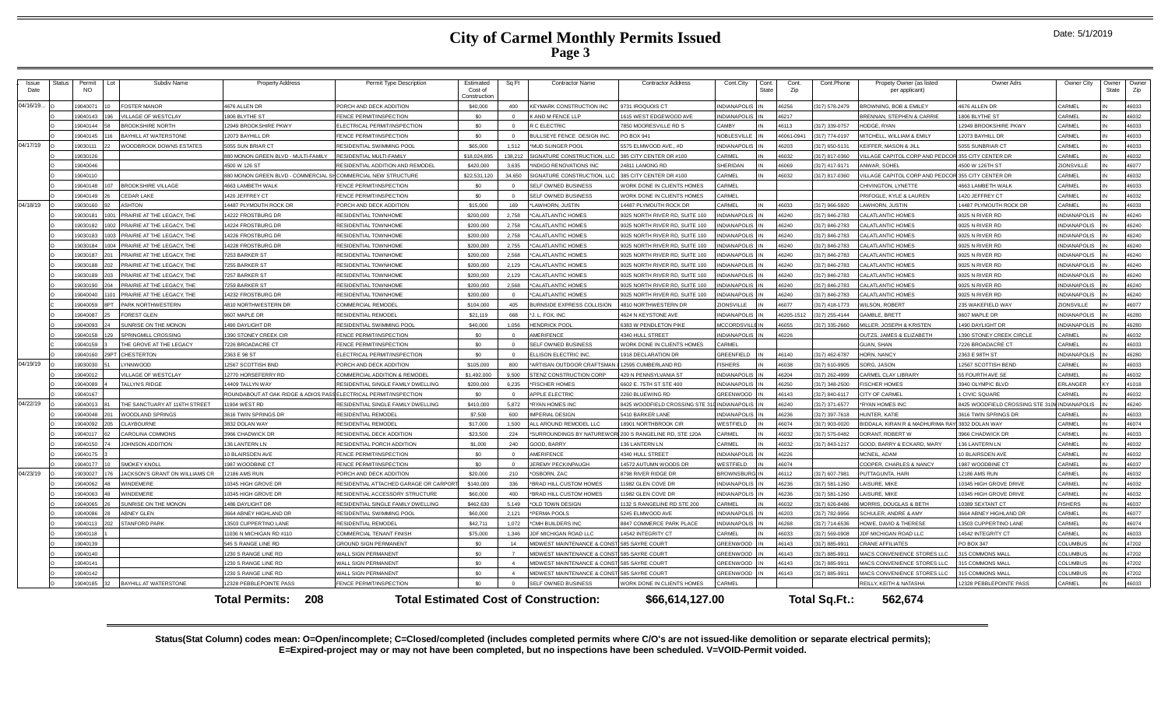| Issue<br>Date | Status | Permit<br>NO. |     | Subdiv Name                    | <b>Property Address</b>                                           | Permit Type Description               | Estimated<br>Cost of<br>Constructio | Sq Ft          | <b>Contractor Name</b>                                  | <b>Contractor Address</b>            | Cont.City           | Cont.<br><b>State</b> | Cont.<br>Zip | Cont.Phone         | Propety Owner (as listed<br>per applicant) | Owner Adrs                    | Owner City          | Owner<br>State | Owne<br>Zip |
|---------------|--------|---------------|-----|--------------------------------|-------------------------------------------------------------------|---------------------------------------|-------------------------------------|----------------|---------------------------------------------------------|--------------------------------------|---------------------|-----------------------|--------------|--------------------|--------------------------------------------|-------------------------------|---------------------|----------------|-------------|
| 04/16/19      |        | 19040071      |     | <b>FOSTER MANOR</b>            | 4676 ALLEN DR                                                     | PORCH AND DECK ADDITION               | \$40,000                            | 400            | EYMARK CONSTRUCTION INC                                 | 9731 IROQUOIS CT                     | <b>INDIANAPOLIS</b> |                       | 46256        | (317) 578-2479     | ROWNING, BOB & FMILEY                      | 4676 ALLEN DR                 | CARMEL              |                | 46033       |
|               |        | 19040143      |     | <b>/ILLAGE OF WESTCLAY</b>     | 1806 BLYTHE ST                                                    | FENCE PERMIT/INSPECTION               | \$0                                 | $\Omega$       | AND M FENCE LLP                                         | 615 WEST EDGEWOOD AVE                | <b>INDIANAPOLIS</b> |                       | 46217        |                    | RENNAN, STEPHEN & CARRIE                   | <b>306 BLYTHE ST</b>          | CARMEL              |                | 46032       |
|               |        | 19040144      |     | <b>BROOKSHIRE NORTH</b>        | 12949 BROOKSHIRE PKWY                                             | ELECTRICAL PERMIT/INSPECTION          | \$0                                 | $\Omega$       | C ELECTRIC                                              | 7850 MOORESVILLE RD S                | <b>CAMBY</b>        |                       | 46113        | (317) 339-0757     | IODGE, RYAN                                | 2949 BROOKSHIRE PKWY          | CARMEL              |                | 46033       |
|               |        | 19040145      |     | BAYHILL AT WATERSTONE          | 12073 BAYHILL DR                                                  | FENCE PERMIT/INSPECTION               | \$0                                 | $\sqrt{2}$     | BULLSEYE FENCE DESIGN INC.                              | PO BOX 941                           | NOBLESVILLE         |                       | 46061-0941   | 317) 774-0197      | <b>ITCHELL, WILLIAM &amp; EMILY</b>        | 1073 BAYHILL DR               | CARMEL              |                | 46033       |
| 04/17/19      |        | 19030111      |     | WOODBROOK DOWNS ESTATES        | 5055 SUN BRIAR CT                                                 | RESIDENTIAL SWIMMING POOL             | \$65,000                            | 1.512          | MUD SLINGER POOL                                        | 5575 ELMWOOD AVE., #D                | <b>INDIANAPOLIS</b> |                       | 46203        | (317) 650-5131     | EIFFER, MASON & JILL                       | 6055 SUNBRIAR CT              | CARMEL              |                | 46033       |
|               |        | 19030126      |     |                                | 880 MONON GREEN BLVD - MULTI-FAMILY                               | RESIDENTIAL MULTI-FAMILY              | \$18,024,895                        | 138,212        | SIGNATURE CONSTRUCTION, LLC                             | 385 CITY CENTER DR #100              | CARMEL              |                       | 46032        | (317) 817-0360     | ILLAGE CAPITOL CORP AND PEDC               | 355 CITY CENTER DR            | CARMEL              |                | 46032       |
|               |        | 19040046      |     |                                | 4500 W 126 ST                                                     | RESIDENTIAL ADDITION AND REMODEL      | \$420,000                           | 3.635          | NDIGO RENOVATIONS INC                                   | 24811 LAMONG RD                      | SHERIDAN            |                       | 46069        | (317) 417-9171     | NWAR, SOHEL                                | 1500 W 126TH ST               | ZIONSVILLE          |                | 46077       |
|               |        | 19040110      |     |                                | 380 MONON GREEN BLVD - COMMERCIAL                                 | SHCOMMERCIAL NEW STRUCTURI            | \$22,531,12                         | 34,650         | <b>IGNATURE CONSTRUCTION, LL</b>                        | 385 CITY CENTER DR #100              | CARMEL              |                       | 46032        | (317) 817-0360     | <b>LLAGE CAPITOL CORP AND PEDC</b>         | 355 CITY CENTER DF            | CARMEL              |                | 46032       |
|               |        | 19040148      | 107 | <b>BROOKSHIRE VILLAGE</b>      | 4663   AMBETH WAI K                                               | FENCE PERMIT/INSPECTION               | \$0                                 | $\Omega$       | SELF OWNED BUSINESS                                     | VORK DONE IN CLIENTS HOMES           | <b>CARMEL</b>       |                       |              |                    | CHIVINGTON I YNFTTE                        | <b>4663 LAMBETH WALK</b>      | CARMEL              |                | 46033       |
|               |        | 19040149      |     | <b>CEDAR LAKE</b>              | 1420 JEFFREY CT                                                   | FENCE PERMIT/INSPECTION               | \$0                                 |                | SELF OWNED BUSINESS                                     | VORK DONE IN CLIENTS HOMES           | CARMEL              |                       |              |                    | RIFOGLE, KYLE & LAUREN                     | 420 JEFFREY CT                | CARMEL              |                | 46032       |
| 04/18/19      |        | 19030160      |     | <b>ASHTON</b>                  | 14487 PLYMOUTH ROCK DF                                            | PORCH AND DECK ADDITION               | \$15,000                            | 169            | LAWHORN, JUSTIN                                         | 4487 PLYMOUTH ROCK DR                | <b>ARMEL</b>        |                       | 46033        | (317) 966-5920     | AWHORN, JUSTIN                             | <b>4487 PLYMOUTH ROCK DR</b>  | CARMEL              |                | 16033       |
|               |        | 19030181      |     | PRAIRIE AT THE LEGACY. THE     | 14222 FROSTBURG DR                                                | RESIDENTIAL TOWNHOME                  | \$200,000                           | 2.758          | 'CALATLANTIC HOMES                                      | 9025 NORTH RIVER RD, SUITE 100       | <b>NDIANAPOLI</b>   |                       | 46240        | (317) 846-2783     | <b>ALATLANTIC HOMES</b>                    | 9025 N RIVER RD               | NDIANAPOLIS         |                | 46240       |
|               |        | 19030182      |     | PRAIRIE AT THE LEGACY. THE     | 14224 FROSTBURG DR                                                | <b>RESIDENTIAL TOWNHOME</b>           | \$200,000                           | 2,758          | 'CALATLANTIC HOMES                                      | 9025 NORTH RIVER RD, SUITE 100       | NDIANAPOLIS         |                       | 46240        | (317) 846-2783     | CALATLANTIC HOMES                          | 9025 N RIVER RD               | INDIANAPOLIS        |                | 46240       |
|               |        | 19030183      |     | PRAIRIE AT THE LEGACY. THE     | 14226 FROSTBURG DR                                                | RESIDENTIAL TOWNHOME                  | \$200,000                           | 2.758          | 'CALATLANTIC HOMES                                      | 9025 NORTH RIVER RD, SUITE 100       | NDIANAPOLIS         |                       | 46240        | (317) 846-2783     | <b>CALATLANTIC HOMES</b>                   | 9025 N RIVER RD               | <b>INDIANAPOLIS</b> |                | 46240       |
|               |        | 19030184      |     | PRAIRIE AT THE LEGACY. THE     | 14228 FROSTBURG DR                                                | RESIDENTIAL TOWNHOME                  | \$200,000                           | 2,755          | 'CALATLANTIC HOMES                                      | 9025 NORTH RIVER RD, SUITE 100       | NDIANAPOLIS         |                       | 46240        | (317) 846-2783     | ALATLANTIC HOMES                           | 9025 N RIVER RD               | <b>INDIANAPOLIS</b> |                | 46240       |
|               |        | 19030187      |     | PRAIRIE AT THE LEGACY. THE     | 7253 BARKER ST                                                    | <b>RESIDENTIAL TOWNHOME</b>           | \$200,000                           | 2.568          | CALATLANTIC HOMES                                       | 9025 NORTH RIVER RD, SUITE 100       | NDIANAPOLIS         |                       | 46240        | (317) 846-2783     | ALATLANTIC HOMES                           | 9025 N RIVER RD               | <b>INDIANAPOLIS</b> |                | 16240       |
|               |        | 19030188      |     | PRAIRIE AT THE LEGACY. THE     | 7255 BARKER ST                                                    | <b>RESIDENTIAL TOWNHOME</b>           | \$200,000                           | 2.129          | CALATLANTIC HOMES                                       | 025 NORTH RIVER RD, SUITE 100        | <b>NDIANAPOLIS</b>  |                       | 46240        | (317) 846-2783     | ALATLANTIC HOMES                           | 025 N RIVER RD                | NDIANAPOLIS         |                | 16240       |
|               |        | 19030189      | 203 | PRAIRIE AT THE LEGACY THE      | 7257 BARKER ST                                                    | RESIDENTIAL TOWNHOME                  | \$200,000                           | 2.129          | CALATLANTIC HOMES                                       | 9025 NORTH RIVER RD. SUITE 100       | NDIANAPOLIS         |                       | 46240        | (317) 846-2783     | CALATLANTIC HOMES                          | 9025 N RIVER RD               | INDIANAPOLIS        |                | 46240       |
|               |        | 19030190      |     | PRAIRIE AT THE LEGACY. THE     | 7259 BARKER ST                                                    | <b>RESIDENTIAL TOWNHOME</b>           | \$200,000                           | 2.568          | 'CALATLANTIC HOMES                                      | 025 NORTH RIVER RD. SUITE 100        | NDIANAPOLIS         |                       | 46240        | (317) 846-2783     | <b>ALATLANTIC HOMES</b>                    | 9025 N RIVER RD               | NDIANAPOLIS         |                | 46240       |
|               |        | 19040040      |     | PRAIRIE AT THE LEGACY. THE     | 14232 FROSTBURG DR                                                | RESIDENTIAL TOWNHOME                  | \$200,000                           | $\Omega$       | 'CALATLANTIC HOMES                                      | 9025 NORTH RIVER RD, SUITE 100       | NDIANAPOLIS         |                       | 46240        | (317) 846-2783     | CALATLANTIC HOMES                          | 9025 N RIVER RD               | <b>INDIANAPOLIS</b> |                | 46240       |
|               |        | 19040059      |     | PARK NORTHWESTERN              | 4810 NORTHWESTERN DR                                              | COMMERCIAL REMODEL                    | \$104,000                           | 405            | <b>URNSIDE EXPRESS COLLISION</b>                        | 4810 NORTHWESTERN DR                 | ZIONSVILLE          |                       | 46077        | 317) 418-1773      | <b>ILSON, ROBERT</b>                       | 235 WAKEFIELD WAY             | ZIONSVILLE          |                | 46077       |
|               |        | 19040087      |     | <b>FOREST GLEN</b>             | 9607 MAPLE DR                                                     | RESIDENTIAL REMODEL                   | \$21,119                            | 668            | J. L. FOX. INC                                          | 4624 N KEYSTONE AVE                  | <b>INDIANAPOLIS</b> |                       | 46205-1512   | (317) 255-4144     | AMRI F RRETT                               | 607 MAPLE DR                  | <b>INDIANAPOLIS</b> |                | 46280       |
|               |        | 19040093      |     | SUNRISE ON THE MONON           | 1490 DAYLIGHT DR                                                  | RESIDENTIAL SWIMMING POOL             | \$40,000                            | 1,056          | <b>HENDRICK POOL</b>                                    | 6383 W PENDLETON PIKE                | <b>MCCORDSVILL</b>  |                       | 46055        | (317) 335-2660     | IILLER, JOSEPH & KRISTEN                   | 490 DAYLIGHT DR               | <b>INDIANAPOLIS</b> |                | 46280       |
|               |        | 19040158      |     | <b>SPRINGMILL CROSSING</b>     | 1390 STONEY CREEK CIR                                             | <b>ENCE PERMIT/INSPECTION</b>         | \$0                                 |                | <b>MERIFENCE</b>                                        | 4340 HULL STREET                     | <b>INDIANAPOLIS</b> |                       | 46226        |                    | <b>OUTZS, JAMES &amp; ELIZABETH</b>        | 390 STONEY CREEK CIRCLE       | CARMEL              |                | 16032       |
|               |        | 19040159      |     | HE GROVE AT THE LEGACY         | 7226 BROADACRE CT                                                 | <b>ENCE PERMIT/INSPECTION</b>         | \$0                                 | $\Omega$       | SELF OWNED BUSINESS                                     | VORK DONE IN CLIENTS HOMES           | ARMEI               |                       |              |                    | GUAN, SHAN                                 | 226 BROADACRE CT              | CARMEL              |                | 16033       |
|               |        | 9040160       |     | CHESTERTON                     | 2363 F 98 ST                                                      | ELECTRICAL PERMIT/INSPECTION          | \$0                                 |                | LISON ELECTRIC INC                                      | 918 DECLARATION DR                   | <b>GREENFIELD</b>   |                       | 46140        | 317) 462-6787      | <b>IORN. NANCY</b>                         | 363 E 98TH ST                 | <b>NDIANAPOL</b>    |                | 46280       |
| 04/19/19      |        | 19030030      |     | LYNNWOOD                       | 12567 SCOTTISH BND                                                | PORCH AND DECK ADDITION               | \$105,000                           | 800            | ARTISAN OUTDOOR CRAFTSMAN                               | 12595 CUMBERLAND RD                  | <b>FISHERS</b>      |                       | 46038        | (317) 610-9905     | ORG JASON                                  | 2567 SCOTTISH BEND            | CARMEL              |                | 46033       |
|               |        | 19040012      |     | <b>VILLAGE OF WESTCLAY</b>     | 12770 HORSEFERRY RD                                               | COMMERCIAL ADDITION & REMODEL         | \$1,492,000                         | 9.500          | <b>TENZ CONSTRUCTION CORP</b>                           | <b>429 N PENNSYLVANIA ST</b>         | <b>INDIANAPOLIS</b> |                       | 46204        | (317) 262-4999     | ARMEL CLAY LIBRARY                         | 55 FOURTH AVE SE              | CARMEL              |                | 46032       |
|               |        | 19040089      |     | <b>TALLYN'S RIDGE</b>          | 14409 TALLYN WAY                                                  | RESIDENTIAL SINGLE FAMILY DWELLING    | \$200,000                           | 6.235          | <b>FISCHER HOMES</b>                                    | 6602 E. 75TH ST STE 400              | <b>INDIANAPOLIS</b> |                       | 46250        | (317) 348-2500     | <b>ISCHER HOMES</b>                        | 3940 OLYMPIC BLVD             | <b>FRI ANGER</b>    |                | 41018       |
|               |        | 19040167      |     |                                | ROUNDABOUT AT OAK RIDGE & ADIOS PASS ELECTRICAL PERMIT/INSPECTION |                                       | - \$0                               | $\sqrt{ }$     | PPLE ELECTRIC                                           | 2260 BLUEWING RD                     | <b>GREENWOOD</b>    |                       | 46143        | (317) 840-6117     | <b>ITY OF CARMEL</b>                       | <b>CIVIC SQUARE</b>           | CARMEL              |                | 46032       |
| 04/22/19      |        | 19040013      |     | THE SANCTUARY AT 116TH STREET  | 11904 WEST RD                                                     | RESIDENTIAL SINGLE FAMILY DWELLING    | \$410,000                           | 5.872          | <b>RYAN HOMES INC</b>                                   | <b>8425 WOODFIELD CROSSING STE 3</b> | <b>INDIANAPOLIS</b> |                       | 46240        | (317) 371-6577     | YAN HOMES IN                               | 425 WOODFIELD CROSSING STE 31 | <b>INDIANAPOL</b>   |                | 46240       |
|               |        | 19040048      |     | WOODLAND SPRINGS               | 3616 TWIN SPRINGS DR                                              | RESIDENTIAL REMODE                    | \$7,500                             | 600            | <b>MPERIAL DESIGN</b>                                   | 5410 BARKER LAN                      | INDIANAPOLIS        |                       | 46236        | (317) 397-7618     | <b>INTER KATIF</b>                         | 3616 TWIN SPRINGS DR          | CARMEL              |                | 46033       |
|               |        | 19040092      | 205 | <b>CLAYBOURNE</b>              | 3832 DOLAN WAY                                                    | RESIDENTIAL REMODEI                   | \$17,000                            | 1,500          | LL AROUND REMODEL LLC                                   | 18901 NORTHBROOK CIR                 | WESTFIELD           |                       | 46074        | (317) 903-0020     | <b>IDDALA, KIRAN R &amp; MADHURIMA R</b>   | 8832 DOLAN WAY                | CARMEL              |                | 46074       |
|               |        | 19040117      |     | <b>CAROLINA COMMONS</b>        | 3966 CHADWICK DR                                                  | RESIDENTIAL DECK ADDITION             | \$23,500                            | 224            | SURROUNDINGS BY NATUREWORL 200 S RANGELINE RD, STE 120A |                                      | ARMEL               |                       | 46032        | (317) 575-0482     | ORANT ROBERT W                             | <b>3966 CHADWICK DR</b>       | CARMEL              |                | 46033       |
|               |        | 19040150      |     | JOHNSON ADDITION               | 136 LANTERN LN                                                    | RESIDENTIAL PORCH ADDITION            | \$1,000                             | 240            | GOOD, BARRY                                             | 136 LANTERN LN                       | ARMEL               |                       | 46032        | 317) 843-1217      | OOD, BARRY & ECKARD, MARY                  | 6 LANTERN LN                  | CARMEL              |                | 16032       |
|               |        | 19040175      |     |                                | 10 BLAIRSDEN AVE                                                  | FENCE PERMIT/INSPECTION               | \$0                                 |                | <b>MERIFENCI</b>                                        | 4340 HULL STREET                     | INDIANAPOLI         |                       | 46226        |                    | ACNELL ADAM                                | <b>BLAIRSDEN AVI</b>          | CARMEL              |                | 46032       |
|               |        | 19040177      |     | <b>SMOKEY KNOLL</b>            | 1987 WOODBINE CT                                                  | FENCE PERMIT/INSPECTION               | \$0                                 | $\Omega$       | JEREMY PECKINPAUGH                                      | 14572 AUTUMN WOODS DR                | WESTFIELD           |                       | 46074        |                    | COOPER, CHARLES & NANCY                    | 987 WOODBINE CT               | CARMEL              |                | 46037       |
| 04/23/19      |        | 19030027      |     | JACKSON'S GRANT ON WILLIAMS CR | 12186 AMS RUN                                                     | PORCH AND DECK ADDITION               | \$20,000                            | 210            | 'OSBORN, ZAC                                            | 8798 RIVER RIDGE DR                  | <b>BROWNSBURG</b>   |                       | 46112        | (317) 607-7981     | UTTAGUNTA, HARI                            | 186 AMS RUN                   | CARMEL              |                | 46032       |
|               |        | 19040062      |     | <b>WINDEMERE</b>               | 10345 HIGH GROVE DR                                               | RESIDENTIAL ATTACHED GARAGE OR CARPOR | \$140,000                           | 336            | BRAD HILL CUSTOM HOMES                                  | 1982 GLEN COVE DR                    | NDIANAPOLIS         |                       | 46236        | $(317) 581 - 1260$ | AISURE, MIKE                               | 345 HIGH GROVE DRIVE          | CARMEL              |                | 16032       |
|               |        | 19040063      |     | <b>INDEMERE</b>                | 10345 HIGH GROVE DR                                               | RESIDENTIAL ACCESSORY STRUCTURE       | \$60,000                            | 400            | BRAD HILL CUSTOM HOMES                                  | 1982 GLEN COVE DR                    | <b>INDIANAPOLIS</b> |                       | 46236        | (317) 581-1260     | <b>AISURE, MIKE</b>                        | 345 HIGH GROVE DRIVI          | CARMEL              |                | 46032       |
|               |        | 19040065      |     | SUNRISE ON THE MONON           | 1486 DAYLIGHT DR                                                  | RESIDENTIAL SINGLE FAMILY DWELLING    | \$462,630                           | 5.149          | OLD TOWN DESIGN                                         | 1132 S RANGELINE RD STE 200          | <b>CARMEL</b>       |                       | 46032        | (317) 626-8486     | <b>MORRIS, DOUGLAS &amp; BETH</b>          | 0389 SEXTANT CT               | <b>FISHERS</b>      |                | 46037       |
|               |        | 19040086      |     | <b>ABNEY GLEN</b>              | 3664 ABNEY HIGHLAND DR                                            | RESIDENTIAL SWIMMING POOL             | \$60,000                            | 2.121          | PERMA POOLS                                             | 5245 ELMWOOD AVE                     | <b>INDIANAPOLIS</b> |                       | 46203        | (317) 782-9956     | CHULER, ANDRE & AMY                        | 664 ABNEY HIGHLAND DR         | CARMEL              |                | 46077       |
|               |        | 19040113      | 202 | <b>STANFORD PARK</b>           | 13503 CUPPERTINO LANE                                             | RESIDENTIAL REMODEL                   | \$42,711                            | 1,072          | 'CMH BUILDERS INC                                       | 8847 COMMERCE PARK PLACE             | <b>INDIANAPOLIS</b> |                       | 46268        | (317) 714-6536     | <b>IOWE, DAVID &amp; THERESE</b>           | 3503 CUPPERTINO LANE          | CARMEL              |                | 46074       |
|               |        | 19040118      |     |                                | 1036 N MICHIGAN RD #110                                           | COMMERCIAL TENANT FINISH              | \$75,000                            | 1.346          | DE MICHIGAN ROAD LLC                                    | 14542 INTEGRITY CT                   | ARM <sub>FI</sub>   |                       | 46033        | (317) 569-0908     | IDE MICHIGAN ROAD LLC                      | 4542 INTEGRITY CT             | CARMEL              |                | 46033       |
|               |        | 19040139      |     |                                | 545 S RANGE LINE RD                                               | <b>GROUND SIGN PERMANENT</b>          | \$0                                 | 14             | <b>IDWEST MAINTENANCE &amp; CONS</b>                    | 585 SAYRE COURT                      | <b>GREENWOOD</b>    |                       | 46143        | 317) 885-9911      | <b>RANE AFFILIATES</b>                     | O BOX 347                     | COLUMBUS            |                | 17202       |
|               |        | 19040146      |     |                                | 1230 S RANGE LINE RD                                              | WALL SIGN PERMANENT                   | \$0                                 | $\overline{z}$ | <b>IIDWEST MAINTENANCE &amp; CONS</b>                   | 585 SAYRE COURT                      | GREENWOOD           |                       | 46143        | (317) 885-9911     | ACS CONVENIENCE STORES LLC                 | 5 COMMONS MAL                 | COLLIMBUS           |                | 47202       |
|               |        | 19040141      |     |                                | 1230 S RANGE LINE RD                                              | WALL SIGN PERMANENT                   | \$0                                 |                | <b>MIDWEST MAINTENANCE &amp; CONS</b>                   | 585 SAYRE COURT                      | <b>GREENWOOD</b>    |                       | 46143        | (317) 885-9911     | ACS CONVENIENCE STORES LLC                 | 5 COMMONS MALL                | <b>COLUMBUS</b>     |                | 47202       |
|               |        | 19040142      |     |                                | 1230 S RANGE LINE RD                                              | WALL SIGN PERMANENT                   | \$0                                 | $\overline{A}$ | MIDWEST MAINTENANCE & CONST 585 SAYRE COURT             |                                      | GREENWOOD           |                       | 46143        | (317) 885-9911     | <b>IACS CONVENIENCE STORES LLC</b>         | 5 COMMONS MALL                | <b>COLUMBUS</b>     |                | 47202       |
|               |        | 9040185       |     | <b>BAYHILL AT WATERSTONE</b>   | 12328 PEBBLEPOINTE PASS                                           | FENCE PERMIT/INSPECTION               | \$0                                 |                | <b>ELF OWNED BUSINESS</b>                               | VORK DONE IN CLIENTS HOMES           | CARMEL              |                       |              |                    | <b>EILLY, KEITH &amp; NATASHA</b>          | 328 PEBBLEPOINTE PASS         | CARMEL              |                | 16033       |
|               |        |               |     |                                | 208<br><b>Total Permits:</b>                                      |                                       |                                     |                | <b>Total Estimated Cost of Construction:</b>            | \$66,614,127.00                      |                     |                       |              | Total Sq.Ft.:      | 562.674                                    |                               |                     |                |             |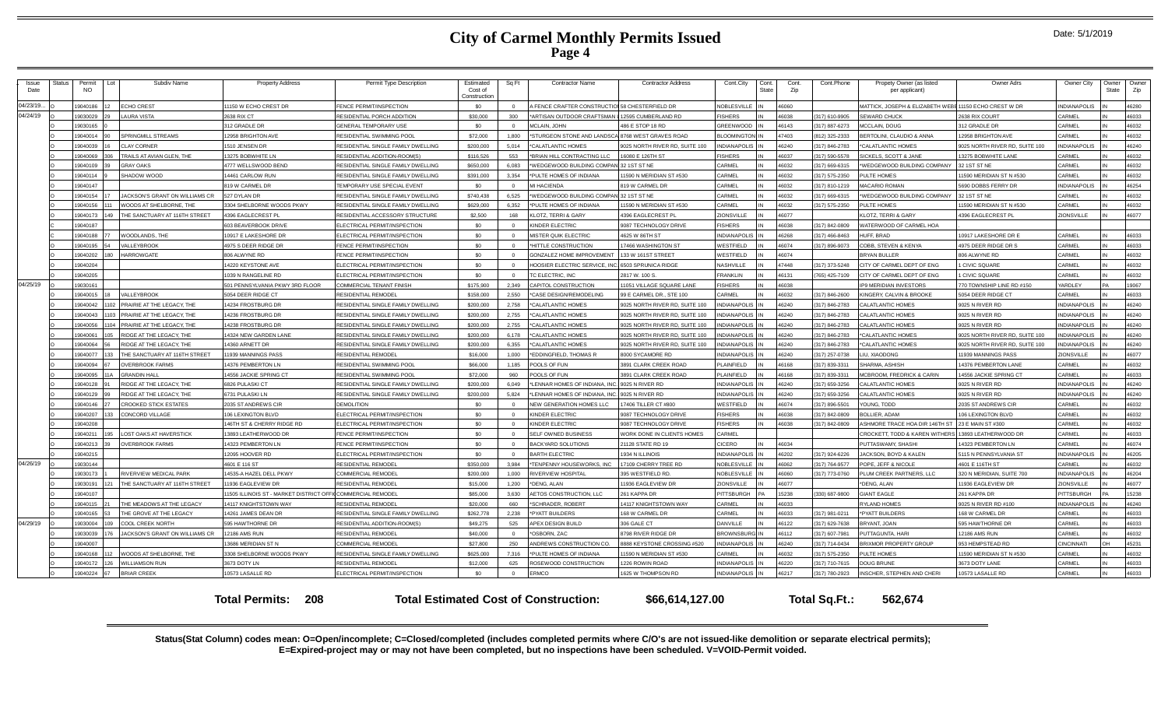| Issue<br>Date | Status | Permit<br><b>NO</b> | Lot | Subdiv Name                    | <b>Property Address</b>                                    | Permit Type Description             | Estimated<br>Cost of<br>Construction | Sq Ft    | <b>Contractor Name</b>              | <b>Contractor Addres:</b>      | Cont.City             | Cont.<br>State | Cont.<br>Zip | Cont.Phone    | Propety Owner (as listed<br>per applicant)                        | <b>Owner Adrs</b>              | Owner City          | Owner<br>State | Owner<br>Zip |
|---------------|--------|---------------------|-----|--------------------------------|------------------------------------------------------------|-------------------------------------|--------------------------------------|----------|-------------------------------------|--------------------------------|-----------------------|----------------|--------------|---------------|-------------------------------------------------------------------|--------------------------------|---------------------|----------------|--------------|
| 04/23/19.     |        | 19040186            |     | <b>ECHO CREST</b>              | 11150 W ECHO CREST DR                                      | <b>ENCE PERMIT/INSPECTION</b>       | \$0                                  |          | <b>I FENCE CRAFTER CONSTRUCTION</b> | 58 CHESTERFIELD DR             | <b>NOBLESVILLE</b>    |                | 08061        |               | <b>WATTICK, JOSEPH &amp; ELIZABETH WEBE 11150 ECHO CREST W DR</b> |                                | <b>INDIANAPOLIS</b> |                | 46280        |
| 04/24/19      |        | 19030029            |     | <b>LAURA VISTA</b>             | 2638 RIX CT                                                | RESIDENTIAL PORCH ADDITION          | \$30,000                             | 300      | *ARTISAN OUTDOOR CRAFTSMAN          | 12595 CUMBERLAND RD            | <b>ISHERS</b>         |                | 38038        | 317) 610-9905 | <b>SEWARD CHUCK</b>                                               | 2638 RIX COURT                 | CARMEL              |                | 46033        |
|               |        | 19030165            |     |                                | 312 GRADLE DR                                              | <b>GENERAL TEMPORARY USE</b>        | \$0                                  | $\Omega$ | MCLAIN, JOHN                        | 486 E STOP 18 RD               | <b>SREENWOOD</b>      |                | 46143        | 317) 887-6273 | MCCLAIN, DOUG                                                     | 312 GRADLE DR                  | CARMEL              |                | 46032        |
|               |        | 19040014            |     | <b>SPRINGMILL STREAMS</b>      | 12958 BRIGHTON AVE                                         | RESIDENTIAL SWIMMING POOL           | \$72,000                             | 1,800    | *STURGEON STONE AND LANDSC/         | 8768 WEST GRAVES ROAD          | <b>ILOOMINGTON II</b> |                | 47403        | 812) 325-2333 | BERTOLINI, CLAUDIO & ANNA                                         | 12958 BRIGHTON AVE             | CARMEL              |                | 46032        |
|               |        | 19040039            |     | <b>CLAY CORNER</b>             | 1510 JENSEN DR                                             | RESIDENTIAL SINGLE FAMILY DWELLING  | \$200,000                            | 5.014    | *CALATLANTIC HOMES                  | 9025 NORTH RIVER RD, SUITE 100 | <b>NDIANAPOLIS</b>    |                | 46240        | 317) 846-2783 | *CALATLANTIC HOMES                                                | 9025 NORTH RIVER RD, SUITE 100 | <b>INDIANAPOLIS</b> |                | 46240        |
|               |        | 19040069            |     | TRAILS AT AVIAN GLEN, THE      | 13275 BOBWHITE LN                                          | RESIDENTIAL ADDITION-ROOM(S)        | \$116,526                            | 553      | "BRIAN HILL CONTRACTING LLC         | 16080 E 126TH ST               | <b>SHERS</b>          |                | 46037        | 317) 590-5578 | <b>SICKELS, SCOTT &amp; JANE</b>                                  | 13275 BOBWHITE LANE            | CARMEL              |                | 46032        |
|               |        | 19040109            |     | <b>GRAY OAKS</b>               | 4777 WELLSWOOD BEND                                        | RESIDENTIAL SINGLE FAMILY DWELLING  | \$650,000                            | 6,083    | 'WEDGEWOOD BUILDING COMPAN          | V 32 1ST ST NE                 | <b>CARMEL</b>         | IN             | 46032        | 317) 669-6315 | WEDGEWOOD BUILDING COMPANY                                        | 32 1ST ST NE                   | CARMEL              |                | 46032        |
|               |        | 19040114            |     | SHADOW WOOD                    | 14461 CARLOW RUN                                           | RESIDENTIAL SINGLE FAMILY DWELLING  | \$391,000                            | 3.354    | *PULTE HOMES OF INDIANA             | 1590 N MERIDIAN ST #530        | <b>ARMEL</b>          |                | 46032        | 317) 575-2350 | PULTE HOMES                                                       | 11590 MERIDIAN ST N #530       | CARMEL              |                | 46032        |
|               |        | 19040147            |     |                                | 819 W CARMEL DR                                            | <b>EMPORARY USE SPECIAL EVENT</b>   | \$0                                  | $\Omega$ | MI HACIFNDA                         | 819 W CARMEL DR                | <b>CARMEL</b>         |                | 16032        | 317) 810-1219 | <b>MACARIO ROMAN</b>                                              | 5690 DOBBS FERRY DR            | <b>NDIANAPOLIS</b>  |                | 46254        |
|               |        | 19040154            |     | JACKSON'S GRANT ON WILLIAMS CR | 527 DYLAN DR                                               | ESIDENTIAL SINGLE FAMILY DWELLING   | \$740.438                            | 6,525    | 'WEDGEWOOD BUILDING COMPAN          | <b>132 1ST ST NE</b>           | ARMEL                 |                | 16032        | 317) 669-6315 | WEDGEWOOD BUILDING COMPANY                                        | 32 1ST ST NE                   | CARMEL              |                | 46032        |
|               |        | 19040156            |     | WOODS AT SHELBORNE. THE        | 3304 SHELBORNE WOODS PKWY                                  | RESIDENTIAL SINGLE FAMILY DWELLING  | \$629,000                            | 6.352    | *PULTE HOMES OF INDIANA             | 1590 N MERIDIAN ST #530        | <b>ARMEL</b>          |                | 16032        | 317) 575-2350 | PULTE HOMES                                                       | 11590 MERIDIAN ST N #530       | CARMEL              |                | 46032        |
|               |        | 19040173            |     | THE SANCTUARY AT 116TH STREET  | 4396 EAGLECREST PL                                         | RESIDENTIAL ACCESSORY STRUCTURE     | \$2,500                              | 168      | <b>KLOTZ, TERRI &amp; GARY</b>      | <b>4396 EAGLECREST PL</b>      | ONSVILLE              |                | 6077         |               | KLOTZ, TERRI & GARY                                               | 4396 EAGLECREST PL             | ZIONSVILLE          |                | 46077        |
|               |        | 19040187            |     |                                | 603 BEAVERBOOK DRIVE                                       | LECTRICAL PERMIT/INSPECTION         | \$0                                  | $\Omega$ | <b>INDER ELECTRIC</b>               | 9087 TECHNOLOGY DRIVE          | <b>ISHERS</b>         |                | 16038        | 317) 842-0809 | WATERWOOD OF CARMEL HOA                                           |                                |                     |                |              |
|               |        | 19040188            |     | WOODLANDS, THE                 | 10917 E LAKESHORE DR                                       | LECTRICAL PERMIT/INSPECTION         | \$0                                  |          | MISTER QUIK ELECTRIC                | 4625 W 86TH ST                 | NDIANAPOLI            |                | 16268        | 317) 466-8463 | HUFF, BRAD                                                        | 10917 LAKESHORE DR B           | CARMEL              |                | 46033        |
|               |        | 19040195            |     | VALLEYBROOK                    | 4975 S DEER RIDGE DR                                       | <b>ENCE PERMIT/INSPECTION</b>       | \$0                                  | $\Omega$ | *HITTLE CONSTRUCTION                | 17466 WASHINGTON ST            | WESTFIELD             |                | 46074        | 317) 896-9073 | COBB, STEVEN & KENYA                                              | 4975 DEER RIDGE DR \$          | CARMEL              |                | 46033        |
|               |        | 19040202            |     | <b>HARROWGATE</b>              | 806 ALWYNE RD                                              | <b>ENCE PERMIT/INSPECTION</b>       | \$0                                  |          | <b>GONZALEZ HOME IMPROVEMENT</b>    | 133 W 161ST STREET             | <b>NESTFIELD</b>      |                | 46074        |               | <b>BRYAN BULLER</b>                                               | 806 ALWYNE RD                  | CARMEI              |                | 46032        |
|               |        | 19040204            |     |                                | 4220 KEYSTONE AVE                                          | <b>ELECTRICAL PERMIT/INSPECTION</b> | \$0                                  | $\Omega$ | HOOSIER ELECTRIC SERVICE, IN        | 6503 SPRUNICA RIDGE            | NASHVILLE             |                | 47448        | 317) 373-5248 | CITY OF CARMEL DEPT OF ENG                                        | 1 CIVIC SQUARE                 | CARMEL              |                | 46032        |
|               |        | 19040205            |     |                                | 1039 N RANGELINE RD                                        | LECTRICAL PERMIT/INSPECTION         | \$0                                  | $\Omega$ | TC ELECTRIC. INC                    | 2817 W. 100 S                  | FRANKI IN             |                | 46131        | 765) 425-7109 | CITY OF CARMEL DEPT OF ENG                                        | <b>I CIVIC SQUARE</b>          | CARMEL              |                | 46032        |
| 04/25/19      |        | 19030161            |     |                                | 501 PENNSYLVANIA PKWY 3RD FLOOR                            | OMMERCIAL TENANT FINISH             | \$175,900                            | 2.349    | CAPITOL CONSTRUCTION                | 11051 VILLAGE SQUARE LANE      | <b>ISHERS</b>         |                | 46038        |               | <b>IP9 MERIDIAN INVESTORS</b>                                     | 770 TOWNSHIP LINE RD #150      | YARDLEY             |                | 19067        |
|               |        | 19040015            |     | VALLEYBROOK                    | 5054 DEER RIDGE CT                                         | RESIDENTIAL REMODEL                 | \$158,000                            | 2.550    | *CASE DESIGN/REMODELING             | 99 E CARMEL DR., STE 100       | <b>ARMEL</b>          |                | 16032        | 317) 846-2600 | KINGERY, CALVIN & BROOKE                                          | 5054 DEER RIDGE CT             | CARMEL              |                | 46033        |
|               |        | 19040042            |     | 102 PRAIRIE AT THE LEGACY, THE | 14234 FROSTBURG DR                                         | ESIDENTIAL SINGLE FAMILY DWELLING   | \$200,000                            | 2,758    | *CALATLANTIC HOMES                  | 9025 NORTH RIVER RD, SUITE 100 | NDIANAPOLIS           |                | 46240        | 317) 846-2783 | CALATLANTIC HOMES                                                 | 9025 N RIVER RD                | <b>INDIANAPOLIS</b> |                | 46240        |
|               |        | 19040043            |     | 103 PRAIRIE AT THE LEGACY, THE | 14236 FROSTBURG DR                                         | RESIDENTIAL SINGLE FAMILY DWELLING  | \$200,000                            | 2,755    | *CALATLANTIC HOMES                  | 9025 NORTH RIVER RD, SUITE 100 | NDIANAPOLIS           |                | 46240        | 317) 846-2783 | CALATLANTIC HOMES                                                 | 9025 N RIVER RD                | <b>INDIANAPOLIS</b> |                | 46240        |
|               |        | 19040056            |     | PRAIRIE AT THE LEGACY, THE     | 4238 FROSTBURG DR                                          | ESIDENTIAL SINGLE FAMILY DWELLING   | \$200,000                            | 2,755    | <b>"CALATLANTIC HOMES</b>           | 9025 NORTH RIVER RD, SUITE 100 | VDIANAPOLIS           |                | 16240        | 317) 846-2783 | CALATLANTIC HOMES                                                 | 9025 N RIVER RD                | <b>NDIANAPOLIS</b>  |                | 46240        |
|               |        | 19040061            |     | RIDGE AT THE LEGACY, THE       | 14324 NEW GARDEN LANE                                      | RESIDENTIAL SINGLE FAMILY DWELLING  | \$200,000                            | 6,178    | *CALATLANTIC HOMES                  | 9025 NORTH RIVER RD, SUITE 100 | <b>IDIANAPOLIS</b>    |                | 16240        | 317) 846-2783 | <b>CALATLANTIC HOMES</b>                                          | 9025 NORTH RIVER RD, SUITE 100 | <b>INDIANAPOLIS</b> |                | 46240        |
|               |        | 9040064             |     | RIDGE AT THE LEGACY. THE       | 14360 ARNETT DR                                            | RESIDENTIAL SINGLE FAMILY DWELLING  | \$200,000                            | 6.355    | *CALATLANTIC HOMES                  | 9025 NORTH RIVER RD, SUITE 100 | <b>NDIANAPOLIS</b>    |                | 16240        | 317) 846-2783 | *CALATLANTIC HOMES                                                | 9025 NORTH RIVER RD, SUITE 100 | <b>INDIANAPOLIS</b> |                | 46240        |
|               |        | 19040077            |     | THE SANCTUARY AT 116TH STREET  | 11939 MANNINGS PASS                                        | RESIDENTIAL REMODEI                 | \$16,000                             | 1,000    | EDDINGFIELD, THOMAS R               | 8000 SYCAMORE RD               | <b>VDIANAPOLI</b>     |                | 16240        | 317) 257-0738 | IU, XIAODONG                                                      | 11939 MANNINGS PASS            | ZIONSVILLE          |                | 46077        |
|               |        | 19040094            |     | <b>OVERBROOK FARMS</b>         | 14376 PEMBERTON LN                                         | RESIDENTIAL SWIMMING POOL           | \$66,000                             | 1.185    | POOLS OF FUN                        | <b>3891 CLARK CREEK ROAD</b>   | LAINFIELD             |                | 46168        | 317) 839-3311 | SHARMA, ASHISH                                                    | 14376 PEMBERTON LANE           | CARMEL              |                | 46032        |
|               |        | 19040095            |     | <b>GRANDIN HALI</b>            | 14556 JACKIE SPRING CT                                     | RESIDENTIAL SWIMMING POOL           | \$72,000                             | 960      | OOLS OF FUN                         | 3891 CLARK CREEK ROAD          | AINFIELD              |                | 46168        | 317) 839-3311 | MCBROOM, FREDRICK & CARIN                                         | 14556 JACKIE SPRING CT         | CARMEL              |                | 46033        |
|               |        | 19040128            |     | RIDGE AT THE LEGACY, THE       | 6826 PULASKI CT                                            | RESIDENTIAL SINGLE FAMILY DWELLING  | \$200,000                            | 6,049    | LENNAR HOMES OF INDIANA, IN         | 9025 N RIVER RD                | NDIANAPOLIS           |                | 46240        | 317) 659-3256 | CALATLANTIC HOMES                                                 | 9025 N RIVER RD                | <b>INDIANAPOLIS</b> |                | 46240        |
|               |        | 19040129            |     | RIDGE AT THE LEGACY. THE       | 6731 PULASKI LN                                            | RESIDENTIAL SINGLE FAMILY DWELLING  | \$200,000                            | 5,824    | 'LENNAR HOMES OF INDIANA, IN        | 9025 N RIVER RD                | NDIANAPOLIS           |                | 46240        | 317) 659-3256 | CALATLANTIC HOMES                                                 | 9025 N RIVER RD                | <b>INDIANAPOLIS</b> |                | 46240        |
|               |        | 19040146            |     | <b>CROOKED STICK ESTATES</b>   | 2035 ST ANDREWS CIR                                        | DEMOLITION                          | \$0                                  | $\Omega$ | <b>NEW GENERATION HOMES LLC</b>     | 17406 TILLER CT #800           | VESTFIELD             |                | 46074        | 317) 896-5501 | YOUNG, TODD                                                       | 2035 ST ANDREWS CIR            | CARMEL              |                | 46032        |
|               |        | 19040207            | 133 | <b>CONCORD VILLAGE</b>         | 106 LEXINGTON BLVD                                         | LECTRICAL PERMIT/INSPECTION         | \$0                                  | $\Omega$ | KINDER ELECTRIC                     | 9087 TECHNOLOGY DRIVE          | <b>ISHERS</b>         |                | 46038        | 317) 842-0809 | <b>BOLLIER, ADAM</b>                                              | 106 LEXINGTON BLVD             | CARMEL              |                | 46032        |
|               |        | 19040208            |     |                                | 146TH ST & CHERRY RIDGE RD                                 | <b>ELECTRICAL PERMIT/INSPECTION</b> | \$0                                  | $\Omega$ | KINDER ELECTRIC                     | 9087 TECHNOLOGY DRIVE          | <b>ISHERS</b>         |                | 46038        | 317) 842-0809 | ASHMORE TRACE HOA DIR 146TH ST 23 E MAIN ST #300                  |                                | CARMEL              |                | 46032        |
|               |        | 19040211            | 195 | <b>LOST OAKS AT HAVERSTICK</b> | 13893 LEATHERWOOD DF                                       | ENCE PERMIT/INSPECTION              | \$0                                  |          | SELF OWNED BUSINESS                 | WORK DONE IN CLIENTS HOMES     | <b>ARMEL</b>          |                |              |               | ROCKETT, TODD & KAREN WITHERS 13893 LEATHERWOOD DR                |                                | CARMEL              |                | 46033        |
|               |        | 19040213            |     | <b>OVERBROOK FARMS</b>         | 14323 PEMBERTON LN                                         | <b>ENCE PERMIT/INSPECTION</b>       | \$0                                  | $\Omega$ | <b>BACKYARD SOLUTIONS</b>           | 21128 STATE RD 19              | CICERO                |                | 16034        |               | PUTTASWAMY, SHASHI                                                | 4323 PEMBERTON LN              | CARMEL              |                | 46074        |
|               |        | 19040215            |     |                                | 12095 HOOVER RD                                            | LECTRICAL PERMIT/INSPECTION         | \$0                                  |          | <b>BARTH ELECTRIC</b>               | 1934 N ILLINOIS                | NDIANAPOLIS           |                | 16202        | 317) 924-6226 | JACKSON, BOYD & KALEN                                             | 5115 N PENNSYLVANIA ST         | <b>INDIANAPOLIS</b> |                | 46205        |
| 04/26/19      |        | 19030144            |     |                                | 4601 E 116 ST                                              | RESIDENTIAL REMODEL                 | \$350,000                            | 3.984    | *TENPENNY HOUSEWORKS, INC           | 17109 CHERRY TREE RD           | <b>JOBLESVILLE</b>    |                | 46062        | 317) 764-9577 | POPE, JEFF & NICOLE                                               | 4601 E 116TH ST                | CARMEL              |                | 46032        |
|               |        | 19030173            |     | RIVERVIEW MEDICAL PARK         | 14535-A HAZEL DELL PKWY                                    | OMMERCIAL REMODEL                   | \$200,000                            | 1,000    | RIVERVIEW HOSPITAL                  | 395 WESTFIELD RD.              | <b>VOBLESVILLE</b>    |                | 16060        | 317) 773-0760 | PLUM CREEK PARTNERS, LLC                                          | 320 N MERIDIAN, SUITE 700      | <b>INDIANAPOLIS</b> |                | 46204        |
|               |        | 1903019             |     | THE SANCTUARY AT 116TH STREET  | 11936 EAGLEVIEW DR                                         | RESIDENTIAL REMODE                  | \$15,000                             | 1,200    | *DENG, ALAN                         | 11936 EAGLEVIEW DR             | <b>IONSVILLE</b>      |                | 16077        |               | DENG, ALAN                                                        | 11936 EAGLEVIEW DF             | ZIONSVILLE          |                | 46077        |
|               |        | 19040107            |     |                                | 11505 ILLINOIS ST - MARKET DISTRICT OFFICOMMERCIAL REMODEI |                                     | \$85,000                             | 3,630    | AETOS CONSTRUCTION, LLC             | 261 KAPPA DR                   | <b>ITTSBURGH</b>      |                | 5238         | 330) 687-9800 | <b>GIANT EAGLE</b>                                                | 261 KAPPA DR                   | PITTSBURGH          |                | 15238        |
|               |        | 19040115            |     | THE MEADOWS AT THE LEGACY      | 14117 KNIGHTSTOWN WAY                                      | RESIDENTIAL REMODEI                 | \$20,000                             | 660      | *SCHRADER, ROBERT                   | 14117 KNIGHTSTOWN WAY          | CARMEL                |                | 46033        |               | <b>RYLAND HOMES</b>                                               | 9025 N RIVER RD #100           | <b>INDIANAPOLIS</b> |                | 46240        |
|               |        | 19040165            |     | THE GROVE AT THE LEGACY        | 14261 JAMES DEAN DR                                        | RESIDENTIAL SINGLE FAMILY DWELLING  | \$262,778                            | 2,238    | *PYATT BUILDERS                     | 168 W CARMEL DR                | <b>ARMEL</b>          |                | 36033        | 317) 981-0211 | *PYATT BUILDERS                                                   | 168 W CARMEL DR                | CARMEL              |                | 46033        |
| 04/29/19      |        | 19030004            | na  | COOL CREEK NORTH               | 595 HAWTHORNE DR                                           | RESIDENTIAL ADDITION-ROOM(S)        | \$49,275                             | 525      | APEX DESIGN BUILD                   | 306 GALE CT                    | ANVILLE               |                | 46122        | 317) 629-7638 | BRYANT, JOAN                                                      | 595 HAWTHORNE DR               | CARMEL              |                | 46033        |
|               |        | 19030039            |     | JACKSON'S GRANT ON WILLIAMS CR | <b>12186 AMS RUN</b>                                       | RESIDENTIAL REMODE                  | \$40,000                             |          | *OSBORN, ZAC                        | 3798 RIVER RIDGE DR            | <b>ROWNSBURG IN</b>   |                | 46112        | 317) 607-7981 | PUTTAGUNTA, HARI                                                  | <b>12186 AMS RUN</b>           | CARMEL              |                | 46032        |
|               |        | 19040007            |     |                                | 13686 MERIDIAN ST N                                        | COMMERCIAL REMODEI                  | \$27,800                             | 250      | ANDREWS CONSTRUCTION CO.            | 8888 KEYSTONE CROSSING #520    | NDIANAPOLIS           |                | 46240        | 317) 714-0434 | <b>BRIXMOR PROPERTY GROUP</b>                                     | 953 HEMPSTEAD RD               | CINCINNATI          | OН             | 45231        |
|               |        | 9040168             |     | WOODS AT SHELBORNE, THE        | 3308 SHELBORNE WOODS PKWY                                  | ESIDENTIAL SINGLE FAMILY DWELLING   | \$625,000                            | 7,316    | *PULTE HOMES OF INDIANA             | 1590 N MERIDIAN ST #530        | ARMEL                 |                | 6032         | 317) 575-2350 | <b>ULTE HOMES</b>                                                 | 11590 MERIDIAN ST N #530       | CARMEL              |                | 46032        |
|               |        | 19040172            | 126 | <b>WILLIAMSON RUN</b>          | 3673 DOTY LN                                               | RESIDENTIAL REMODEL                 | \$12,000                             | 625      | ROSEWOOD CONSTRUCTION               | 226 ROWIN ROAD                 | NDIANAPOLIS           |                | 16220        | 317) 710-7615 | DOUG BRUNE                                                        | 3673 DOTY LANE                 | CARMEL              |                | 46033        |
|               |        | 19040224            | 67  | <b>BRIAR CREEK</b>             | 10573 LASALLE RD                                           | <b>ELECTRICAL PERMIT/INSPECTION</b> | \$0                                  |          | <b>RMCO</b>                         | 1625 W THOMPSON RD             | NDIANAPOLIS IN        |                | 46217        | 317) 780-2923 | INSCHER, STEPHEN AND CHERI                                        | 10573 LASALLE RD               | CARMEL              |                | 46033        |

**Total Permits: Total Estimated Cost of Construction: \$66,614,127.00 208 Total Sq.Ft.: 562,674**